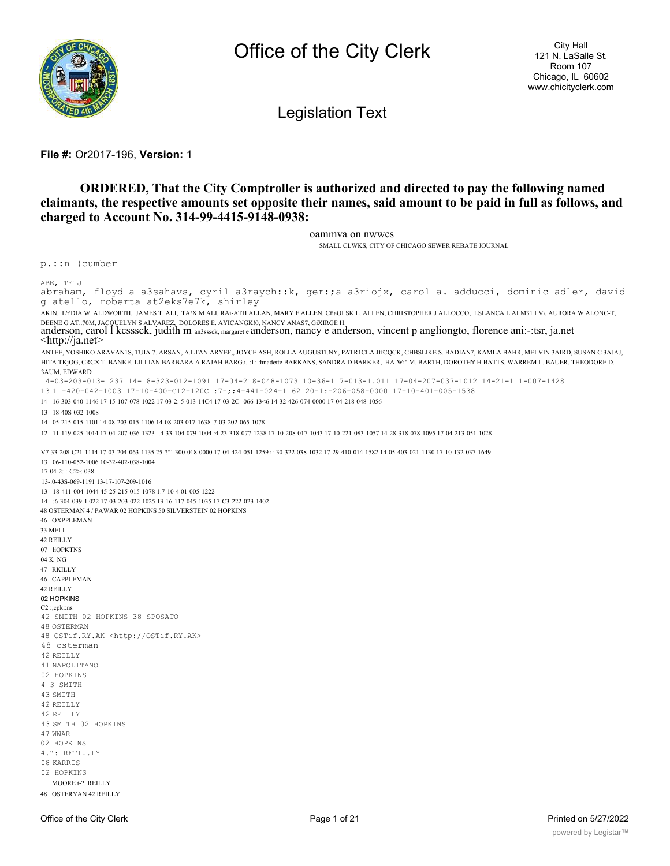

**Legislation Text** 

#### File #: Or2017-196, Version: 1

## **ORDERED, That the City Comptroller is authorized and directed to pay the following named** claimants, the respective amounts set opposite their names, said amount to be paid in full as follows, and charged to Account No. 314-99-4415-9148-0938:

oammva on nwwcs

SMALL CLWKS, CITY OF CHICAGO SEWER REBATE JOURNAL

p.::n (cumber

ABE, TE1JI

abraham, floyd a a3sahavs, cyril a3raych::k, ger:;a a3riojx, carol a. adducci, dominic adler, david g atello, roberta at2eks7e7k, shirley AKIN, LYDIA W. ALDWORTH, JAMES T. ALI, TA!X M ALI, RAi-ATH ALLAN, MARY F ALLEN, CfaOLSK L. ALLEN, CHRISTOPHER J ALLOCCO, LSLANCA L ALM31 LV\, AURORA W ALONC-T, DEENE G AT..70M, JACQUELYN S ALVAREZ, DOLORES E. AYICANGK!0, NANCY ANAS7, GIXIRGE H.<br>anderson, carol I kcsssck, judith m an3sssck, margaret e anderson, nancy e anderson, vincent p angliongto, florence ani:-:tsr, ja.net  $\langle$ http://ja.net $\rangle$ ANTEE, YOSHIKO ARAVANIS, TUIA 7. ARSAN, A.LTAN ARYEF,, JOYCE ASH, ROLLA AUGUSTI.NY, PATRICLA JffCQCK, CHBSLIKE S. BADIAN7, KAMLA BAHR, MELVIN 3AIRD, SUSAN C 3AJAJ, HITA TKjOG, CRCX T. BANKE, LILLIAN BARBARA A RAJAH BARG.i, :1: -: hnadette BARKANS, SANDRA D BARKER, HA-Wi" M. BARTH, DOROTH'i' H BATTS, WARREM L. BAUER, THEODORE D. **3AUM. EDWARD** 14-03-203-013-1237 14-18-323-012-1091 17-04-218-048-1073 10-36-117-013-1.011 17-04-207-037-1012 14-21-111-007-1428  $13\ 11-420-042-1003\ 17-10-400-012-1200\ \ \, \texttt{?7-7;4-441-024-1162}\ \ \, 20-1\texttt{1-206-058-0000}\ \ \, 17-10-401-005-1538$ 14 16-303-040-1146 17-15-107-078-1022 17-03-2: 5-013-14C4 17-03-2C--066-13<6 14-32-426-074-0000 17-04-218-048-1056 13 18-40S-032-1008 14 05-215-015-1101 '.4-08-203-015-1106 14-08-203-017-1638 '7-03-202-065-1078 12 11-119-025-1014 17-04-207-036-1323 -.4-33-104-079-1004 :4-23-318-077-1238 17-10-208-017-1043 17-10-221-083-1057 14-28-318-078-1095 17-04-213-051-1028 V7-33-208-C21-1114 17-03-204-063-1135 25-1"1-300-018-0000 17-04-424-051-1259 i:-30-322-038-1032 17-29-410-014-1582 14-05-403-021-1130 17-10-132-037-1649 13 06-110-052-1006 10-32-402-038-1004  $17-04-2$ : :-C2>: 038 13-:0-43S-069-1191 13-17-107-209-1016 13 18-411-004-1044 45-25-215-015-1078 1.7-10-4 01-005-1222 14 :6-304-039-1 022 17-03-203-022-1025 13-16-117-045-1035 17-C3-222-023-1402 48 OSTERMAN 4 / PAWAR 02 HOPKINS 50 SILVERSTEIN 02 HOPKINS 46 OXPPLEMAN 33 MELL 42 REILLY 07 liOPKTNS 04 K NG 47 RKILLY 46 CAPPLEMAN 42 REILLY 02 HOPKINS C2:;cpk::ns 42 SMITH 02 HOPKINS 38 SPOSATO **48 OSTERMAN** 48 OSTif.RY.AK <http://OSTif.RY.AK> 48 osterman 42 REILLY 41 NAPOLITANO 02 HOPKINS 4 3 SMITH 43 SMITH 42 REILLY 42 RETLLY 43 SMITH 02 HOPKINS 47 WWAR 02 HOPKINS 4.": RFTI..LY 08 KARRIS 02 HOPKINS MOORE t-?. REILLY

48 OSTERYAN 42 REILLY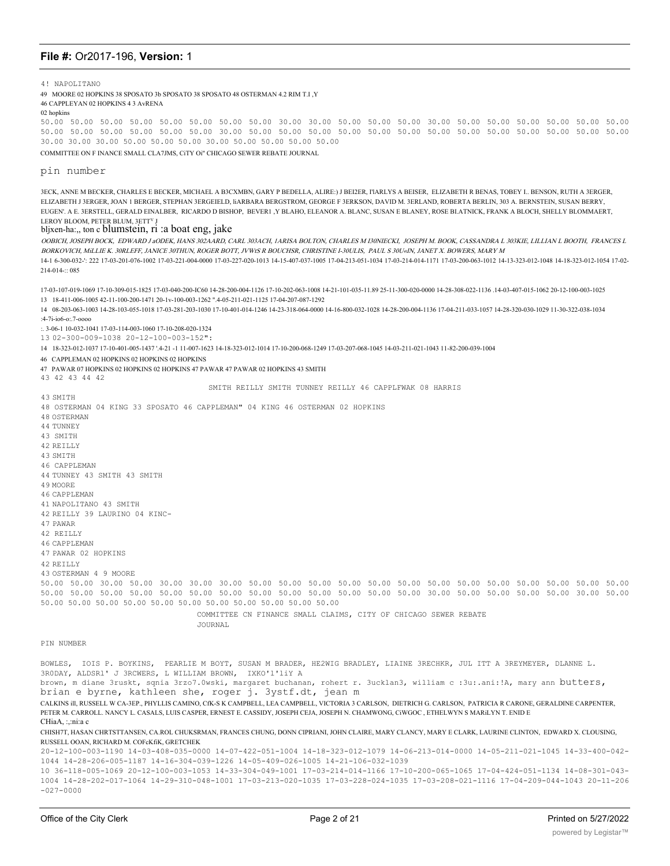4! NAPOLITANO

49 MOORE 02 HOPKINS 38 SPOSATO 3b SPOSATO 38 SPOSATO 48 OSTERMAN 4.2 RIM T.I , Y

46 CAPPLEYAN 02 HOPKINS 4 3 AVRENA

02 hopkins

**43 SMTTH** 

50.00 50.00 50.00 50.00 50.00 50.00 50.00 50.00 30.00 30.00 50.00 50.00 50.00 30.00 50.00 50.00 50.00 50.00 50.00 50.00 50.00 50.00 50.00 50.00 50.00 50.00 30.00 50.00 50.00 50.00 50.00 50.00 50.00 50.00 50.00 50.00 50.00 50.00 50.00 50.00 30.00 30.00 30.00 50.00 50.00 50.00 30.00 50.00 50.00 50.00 50.00

COMMITTEE ON F INANCE SMALL CLA7JMS, CITY Oi" CHICAGO SEWER REBATE JOURNAL

#### pin number

3ECK, ANNE M BECKER, CHARLES E BECKER, MICHAEL A B3CXMBN, GARY P BEDELLA, ALIRE:) J BEI2ER, l'IARLYS A BEISER, ELIZABETH R BENAS, TOBEY I., BENSON, RUTH A 3ERGER, ELIZABETH J 3ERGER, JOAN 1 BERGER, STEPHAN 3ERGEIELD, IARBARA BERGSTROM, GEORGE F 3ERKSON, DAVID M. 3ERLAND, ROBERTA BERLIN, 303 A. BERNSTEIN, SUSAN BERRY, EUGEN', A E, 3ERSTELL, GERALD EINALBER, RICARDO D BISHOP, BEVERI ,Y BLAHO, ELEANOR A, BLANC, SUSAN E BLANEY, ROSE BLATNICK, FRANK A BLOCH, SHELLY BLOMMAERT, LEROY BLOOM, PETER BLUM, 3ETT<sup>V</sup> J

#### bljxen-ha:, ton c blumstein, ri :a boat eng, jake

OOBICH, JOSEPH BOCK, EDWARD JaODEK, HANS 302AARD, CARL 303ACH, IARISA BOLTON, CHARLES M I30NIECKI, JOSEPH M. BOOK, CASSANDRA L 303KIE, LILLIAN L BOOTH, FRANCES L BORKOVICH, MiLLIE K. 30RLEFF, JANICE 30THUN, ROGER BOTT, JVWtS R BOUCHSR, CHRISTINE I-30ULIS, PAUL S 30U«IN, JANET X. BOWERS, MARY M 14-1 6-300-032-'; 222 17-03-201-076-1002 17-03-221-004-0000 17-03-227-020-1013 14-15-407-037-1005 17-04-213-051-1034 17-03-214-014-1171 17-03-200-063-1012 14-13-323-012-1048 14-18-323-012-1048 14-18-323-012-1054 17-02-214-014-:: 085

17-03-107-019-1069 17-10-309-015-1825 17-03-040-200-IC60 14-28-200-004-1126 17-10-202-063-1008 14-21-101-035-11-89 25-11-300-020-0000 14-28-308-022-1136 14-03-407-015-1062 20-12-100-03-1025 13 18-411-006-1005 42-11-100-200-1471 20-1y-100-003-1262 ".4-05-211-021-1125 17-04-207-087-1292

14 08-203-063-1003 14-28-103-055-1018 17-03-281-203-1030 17-10-401-014-1246 14-23-318-064-0000 14-16-800-032-1028 14-28-200-004-1136 17-04-211-033-1057 14-28-320-030-1029 11-30-322-038-1034  $:4-7i-106-0$ ; 7-0000

:. 3-06-1 10-032-1041 17-03-114-003-1060 17-10-208-020-1324

13 02-300-009-1038 20-12-100-003-152":

14 18-323-012-1037 17-10-401-005-1437 '.4-21 -1 11-007-1623 14-18-323-012-1014 17-10-200-068-1249 17-03-207-068-1045 14-03-211-021-1043 11-82-200-039-1004

46 CAPPLEMAN 02 HOPKINS 02 HOPKINS 02 HOPKINS

47 PAWAR 07 HOPKINS 02 HOPKINS 02 HOPKINS 47 PAWAR 47 PAWAR 02 HOPKINS 43 SMITH 43 42 43 44 42

SMITH REILLY SMITH TUNNEY REILLY 46 CAPPLFWAK 08 HARRIS

48 OSTERMAN 04 KING 33 SPOSATO 46 CAPPLEMAN" 04 KING 46 OSTERMAN 02 HOPKINS **48 OSTERMAN** 44 THNNEY 43 SMITH 42 RETLLY 43 SMITH 46 CAPPLEMAN 44 TUNNEY 43 SMITH 43 SMITH 49 MOORE **46 CAPPLEMAN** 41 NAPOLITANO 43 SMITH 42 REILLY 39 LAURINO 04 KINC-47 PAWAR 42 REILLY 46 CAPPLEMAN 47 PAWAR 02 HOPKINS 42 RETLLY 43 OSTERMAN 4 9 MOORE 50.00 50.00 30.00 50.00 30.00 30.00 30.00 50.00 50.00 50.00 50.00 50.00 50.00 50.00 50.00 50.00 50.00 50.00 50.00 50.00 50.00 50.00 50.00 50.00 50.00 50.00 50.00 50.00 50.00 50.00 50.00 50.00 50.00 30.00 50.00 50.00 50.00 50.00 30.00 50.00 50.00 50.00 50.00 50.00 50.00 50.00 50.00 50.00 50.00 50.00 50.00 COMMITTEE CN FINANCE SMALL CLAIMS, CITY OF CHICAGO SEWER REBATE JOURNAL PIN NUMBER BOWLES, IOIS P. BOYKINS, PEARLIE M BOYT, SUSAN M BRADER, HE2WIG BRADLEY, LIAINE 3RECHKR, JUL ITT A 3REYMEYER, DLANNE L. 3RODAY, ALDSR1' J 3RCWERS, L WILLIAM BROWN, IXKO'l'liY A

brown, m diane 3ruskt, sqnia 3rzo7.0wski, margaret buchanan, rohert r. 3ucklan3, william c :3u:.ani:!A, mary ann butters, brian e byrne, kathleen she, roger j. 3ystf.dt, jean m

CALKINS ill RUSSELL W CA-3EP.. PHYLLIS CAMINO, CfK-S K CAMPBELL, LEA CAMPBELL, VICTORIA 3 CARLSON, DIETRICH G, CARLSON, PATRICIA R CARONE, GERALDINE CARPENTER, PETER M. CARROLL. NANCY L. CASALS, LUIS CASPER, ERNEST E. CASSIDY, JOSEPH CEJA, JOSEPH N. CHAMWONG, CIWGOC, ETHELWYN S MARILYN T. ENID E CHiaA. :.:ni:a c

CHISH7T, HASAN CHRTSTTANSEN, CA.ROL CHUKSRMAN, FRANCES CHUNG, DONN CIPRIANI, JOHN CLAIRE, MARY CLANCY, MARY E CLARK, LAURINE CLINTON, EDWARD X. CLOUSING, RUSSELL OOAN, RICHARD M. COFcKfiK, GRETCHEK

20-12-100-003-1190 14-03-408-035-0000 14-07-422-051-1004 14-18-323-012-1079 14-06-213-014-0000 14-05-211-021-1045 14-33-400-042-1044 14-28-206-005-1187 14-16-304-039-1226 14-05-409-026-1005 14-21-106-032-1039

10 36-118-005-1069 20-12-100-003-1053 14-33-304-049-1001 17-03-214-014-1166 17-10-200-065-1065 17-04-424-051-1134 14-08-301-043-1004 14-28-202-017-1064 14-29-310-048-1001 17-03-213-020-1035 17-03-228-024-1035 17-03-208-021-1116 17-04-209-044-1043 20-11-206  $-027 - 0000$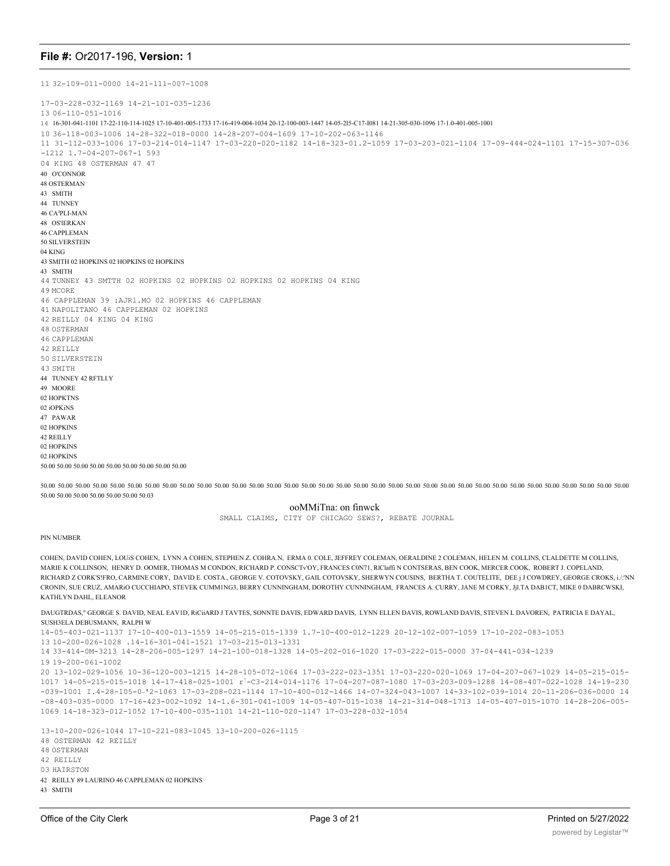11 32-109-011-0000 14-21-111-007-1008 17-03-228-032-1169 14-21-101-035-1236 13 06-110-051-1016 14 16-301-041-1101 17-22-110-114-1025 17-10-401-005-1733 17-16-419-004-1034 20-12-100-003-1447 14-05-2I5-C17-I081 14-21-305-030-1096 17-1.0-401-005-1001 10 36-118-003-1006 14-28-322-018-0000 14-28-207-004-1609 17-10-202-063-1146 11 31-112-033-1006 17-03-214-014-1147 17-03-220-020-1182 14-18-323-01.2-1059 17-03-203-021-1104 17-09-444-024-1101 17-15-307-036 -1212 1.7-04-207-067-1 593 04 KING 48 OSTERMAN 47 47 40 O'CONNOR 48 OSTERMAN 43 SMITH 44 TUNNEY 46 CA<sup>j</sup>PLI-MAN 48 OS'lERKAN 46 CAPPLEMAN 50 SILVERSTEIN 04 KING 43 SMITH 02 HOPKINS 02 HOPKINS 02 HOPKINS 43 SMITH 44 TUNNEY 43 SMTTH 02 HOPKINS 02 HOPKINS 02 HOPKINS 02 HOPKINS 04 KING 49 MCORE 46 CAPPLEMAN 39 :AJRl.MO 02 HOPKINS 46 CAPPLEMAN 41 NAPOLITANO 46 CAPPLEMAN 02 HOPKINS 42 REILLY 04 KING 04 KING 48 OSTERMAN 46 CAPPLEMAN 42 REILLY 50 SILVERSTEIN 43 SMITH 44 TUNNEY 42 RFTLI.Y 49 MOORE 02 HOPKTNS 02 iOPKiNS 47 PAWAR 02 HOPKINS 42 REILLY 02 HOPKINS 02 HOPKINS 50.00 50.00 50.00 50.00 50.00 50.00 50.00 50.00 50.00

50.00 50.00 50.00 50.00 50.00 50.00 50.00 50.00 50.00 50.00 50.00 50.00 50.00 50.00 50.00 50.00 50.00 50.00 50.00 50.00 50.00 50.00 50.00 50.00 50.00 50.00 50.00 50.00 50.00 50.00 50.00 50.00 50.00 50.00 50.00 50.00 50.00 50.00 50.00 50.00 50.03

#### ooMMiTna: on finwck

SMALL CLAIMS, CITY OF CHICAGO SEWS?, REBATE JOURNAL

#### PIN NUMBER

COHEN, DAVID COHEN, LOUiS COHEN, LYNN A COHEN, STEPHEN Z. COHRA.N, ERMA 0. COLE, JEFFREY COLEMAN, OERALDINE 2 COLEMAN, HELEN M. COLLINS, CLALDETTE M COLLINS, MARIE K COLLINSON, HENRY D. OOMER, THOMAS M CONDON, RICHARD P. CONSCTv'OY, FRANCES C0N71, RlClaffi N CONTSERAS, BEN COOK, MERCER COOK, ROBERT J. COPELAND, RICHARD Z CORK'S!FRO, CARMINE CORY, DAVID E. COSTA., GEORGE V. COTOVSKY, GAIL COTOVSKY, SHERWYN COUSINS, BERTHA T. COUTELITE, DEE j J COWDREY, GEORGE CROKS, i./:'NN CRONIN, SUE CRUZ, AMARiO CUCCHIAPO, STEVEK CUMM1NG3, BERRY CUNNINGHAM, DOROTHY CUNNINGHAM, FRANCES A. CURRY, JANE M CORKY, Jjl.TA DAB1CT, MIKE 0 DABRCWSKI, KATHLYN DAHL, ELEANOR

DAUGTRDAS," GEORGE S. DAVID, NEAL EAV1D, RiCiiARD J TAVTES, SONNTE DAVIS, EDWARD DAVIS, LYNN ELLEN DAVIS, ROWLAND DAVIS, STEVEN L DAVOREN, PATRICIA E DAYAL, SUSH3ELA DEBUSMANN, RALPH W

14-05-403-021-1137 17-10-400-013-1559 14-05-215-015-1339 1.7-10-400-012-1229 20-12-102-007-1059 17-10-202-083-1053

13 10-200-026-1028 .14-16-301-041-1521 17-03-215-013-1331

14 33-414-0M-3213 14-28-206-005-1297 14-21-100-018-1328 14-05-202-016-1020 17-03-222-015-0000 37-04-441-034-1239

19 19-200-061-1002

20 13-102-029-1056 10-36-120-003-1215 14-28-105-072-1064 17-03-222-023-1351 17-03-220-020-1069 17-04-207-067-1029 14-05-215-015- 1017 14-05-215-015-1018 14-17-418-025-1001 r!-C3-214-014-1176 17-04-207-087-1080 17-03-203-009-1288 14-08-407-022-1028 14-19-230 -039-1001 I.4-28-105-0\_'2-1063 17-03-208-021-1144 17-10-400-012-1466 14-07-324-043-1007 14-33-102-039-1014 20-11-206-036-0000 14 -08-403-035-0000 17-16-423-002-1092 14-1.6-301-041-1009 14-05-407-015-1038 14-21-314-048-1713 14-05-407-015-1070 14-28-206-005- 1069 14-18-323-012-1052 17-10-400-035-1101 14-21-110-020-1147 17-03-228-032-1054

13-10-200-026-1044 17-10-221-083-1045 13-10-200-026-1115 48 OSTERMAN 42 REILLY 48 OSTERMAN 42 REILLY 03 HAIRSTON 42 REILLY 89 LAURINO 46 CAPPLEMAN 02 HOPKINS 43 SMITH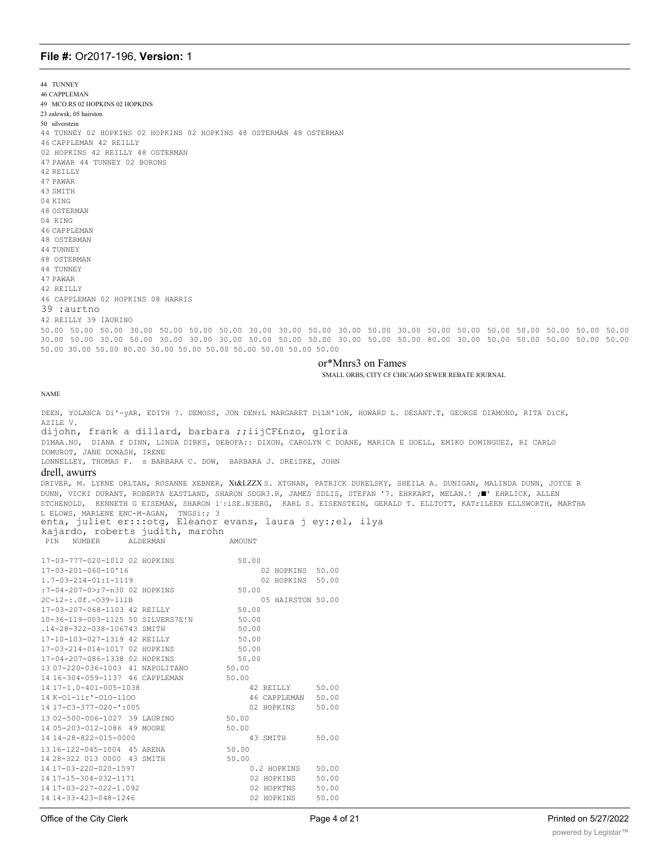44 TUNNEY **46 CAPPLEMAN** 49 MCO.RS 02 HOPKINS 02 HOPKINS 23 zalewsk: 05 hairston 50 silverstein 44 TUNNEY 02 HOPKINS 02 HOPKINS 02 HOPKINS 48 OSTERMAN 48 OSTERMAN 46 CAPPLEMAN 42 RETLLY 02 HOPKINS 42 REILLY 48 OSTERMAN 47 PAWAR 44 TUNNEY 02 BORONS 42 RETLLY 47 PAWAR 43 SMITH 04 KING **48 OSTERMAN** 04 KING 46 CAPPLEMAN 48 OSTERMAN 44 TUNNEY 48 OSTERMAN 44 TUNNEY  $47$  PAWAR 42 REILLY 46 CAPPLEMAN 02 HOPKINS 08 HARRIS 39 :aurtno 42 REILLY 39 IAURINO 50.00 50.00 50.00 30.00 50.00 50.00 50.00 30.00 30.00 50.00 30.00 50.00 30.00 50.00 50.00 50.00 50.00 50.00 50.00 50.00 30.00 50.00 30.00 50.00 30.00 30.00 30.00 50.00 50.00 50.00 30.00 50.00 50.00 80.00 30.00 50.00 50.00 50.00 50.00 50.00 50.00 30.00 50.00 80.00 30.00 50.00 50.00 50.00 50.00 50.00 50.00

#### or\*Mnrs3 on Fames

SMALL ORBS, CITY CF CHICAGO SEWER REBATE JOURNAL

#### **NAME**

DEEN, YOLANCA Di'-yAR, EDITH ?. DEMOSS, JON DENrL MARGARET DILN'ION, HOWARD L. DESANT.T, GEORGE DIAMOND, RITA DICK, AZILE V. dijohn, frank a dillard, barbara ;;iijCF£nzo, gloria

DIMAA.NO, DIANA f DINN, LINDA DIRKS, DEBOFA:: DIXON, CAROLYN C DOANE, MARICA E DOELL, EMIKO DOMINGUEZ, RI CARLO DOMUROT, JANE DONASH, IRENE

LONNELLEY, THOMAS F. S BARBARA C. DOW, BARBARA J. DREISKE, JOHN

AMOUNT

#### drell, awurrs

DRIVER, M. LYKNE ORLTAN, ROSANNE XEBNER, Xt&LZZX S. XTGNAN, PATRICK DUKELSKY, SHEILA A. DUNIGAN, MALINDA DUNN, JOYCE R DUNN, VICKI DURANT, ROBERTA EASTLAND, SHARON SDGR3.R, JAMES SDLIS, STEFAN '7. EHRKART, MELAN.! ; " EHRLICK, ALLEN STCHENOLD, KENNETH G EISEMAN, SHARON 1': iSE. N3ERG, KARL S. EISENSTEIN, GERALD T. ELLTOTT, KATr1LEEN ELLSWORTH, MARTHA L ELOWS, MARLENE ENC-M-AGAN, TNGSi:; 3<br>enta, juliet er:::otg, Eleanor evans, laura j ey:; el, ilya kajardo, roberts judith, marohn

PIN NUMBER ALDERMAN

| 17-03-777-020-1012 02 HOPKINS      | 50.00                 |
|------------------------------------|-----------------------|
| $17 - 03 - 201 - 060 - 10$ '16     | 50.00<br>02 HOPKINS   |
| $1.7 - 0.3 - 2.14 - 0.11 - 1.119$  | 02 HOPKINS<br>50.00   |
| :7-04-207-0>:7-n30 02 HOPKINS      | 50.00                 |
| $2C - i2 - j$ . Of. $-0.39 - 111B$ | 05 HATRSTON 50.00     |
| 17-03-207-068-1103 42 REILLY       | 50.00                 |
| 10-36-119-003-1125 50 SILVERS7E!N  | 50.00                 |
| .14-28-322-038-106743 SMITH        | 50.00                 |
| 17-10-103-027-1319 42 REILLY       | 50.00                 |
| 17-03-214-014-1017 02 HOPKINS      | 50.00                 |
| 17-04-207-086-1338 02 HOPKINS      | 50.00                 |
| 13 07-220-036-1003 41 NAPOLITANO   | 50.00                 |
| 14 16-304-059-1137 46 CAPPLEMAN    | 50.00                 |
| 14 17-1.0-401-005-1038             | 42 REILLY<br>50.00    |
| 14 K-01-1ir'-010-1100              | 46 CAPPLEMAN<br>50.00 |
| $14$ $17 - C3 - 377 - 020 - 1:005$ | 02 HOPKINS<br>50.00   |
| 13 02-500-006-1027 39 LAURINO      | 50.00                 |
| 14 05-203-012-1086 49 MOORE        | 50.00                 |
| 14 14-28-822-015-0000              | 43 SMTTH<br>50.00     |
| 1316-122-045-1004 45 ARENA         | 50.00                 |
| 14 28-322 013 0000 43 SMTTH        | 50.00                 |
| 14 17-03-220-020-1597              | 0.2 HOPKINS<br>50.00  |
| 14 17-15-304-032-1171              | 02 HOPKINS<br>50.00   |
| 14 17-03-227-022-1.092             | 02 HOPKTNS<br>50.00   |
| $1414 - 33 - 423 - 048 - 1246$     | 02 HOPKINS<br>50.00   |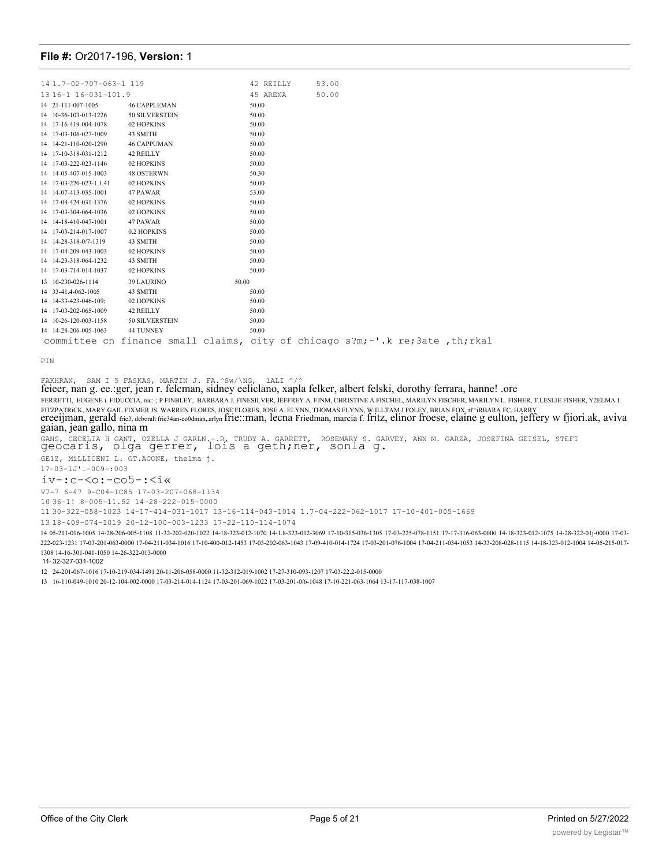| 14 1.7-02-707-063-1 119 |                                                                              |       | 42 REILLY | 53.00 |  |  |
|-------------------------|------------------------------------------------------------------------------|-------|-----------|-------|--|--|
| 13 16-1 16-031-101.9    |                                                                              |       | 45 ARENA  | 50.00 |  |  |
| 14 21-111-007-1005      | <b>46 CAPPLEMAN</b>                                                          |       | 50.00     |       |  |  |
| 14 10-36-103-013-1226   | 50 SILVERSTEIN                                                               |       | 50.00     |       |  |  |
| 14 17-16-419-004-1078   | 02 HOPKINS                                                                   |       | 50.00     |       |  |  |
| 14 17-03-106-027-1009   | 43 SMITH                                                                     |       | 50.00     |       |  |  |
| 14 14-21-110-020-1290   | <b>46 CAPPUMAN</b>                                                           |       | 50.00     |       |  |  |
| 14 17-10-318-031-1212   | 42 REILLY                                                                    |       | 50.00     |       |  |  |
| 14 17-03-222-023-1146   | 02 HOPKINS                                                                   |       | 50.00     |       |  |  |
| 14 14-05-407-015-1003   | <b>48 OSTERWN</b>                                                            |       | 50.30     |       |  |  |
| 14 17-03-220-023-1.1.41 | 02 HOPKINS                                                                   |       | 50.00     |       |  |  |
| 14 14-07-413-035-1001   | 47 PAWAR                                                                     |       | 53.00     |       |  |  |
| 14 17-04-424-031-1376   | 02 HOPKINS                                                                   |       | 50.00     |       |  |  |
| 14 17-03-304-064-1036   | 02 HOPKINS                                                                   |       | 50.00     |       |  |  |
| 14 14-18-410-047-1001   | 47 PAWAR                                                                     |       | 50.00     |       |  |  |
| 14 17-03-214-017-1007   | 0.2 HOPKINS                                                                  |       | 50.00     |       |  |  |
| 14 14-28-318-0/7-1319   | 43 SMITH                                                                     |       | 50.00     |       |  |  |
| 14 17-04-209-043-1003   | 02 HOPKINS                                                                   |       | 50.00     |       |  |  |
| 14 14-23-318-064-1232   | 43 SMITH                                                                     |       | 50.00     |       |  |  |
| 14 17-03-714-014-1037   | 02 HOPKINS                                                                   |       | 50.00     |       |  |  |
| 13 10-230-026-1114      | <b>39 LAURINO</b>                                                            | 50.00 |           |       |  |  |
| 14 33-41.4-062-1005     | 43 SMITH                                                                     |       | 50.00     |       |  |  |
| 14 14-33-423-046-109:   | 02 HOPKINS                                                                   |       | 50.00     |       |  |  |
| 14 17-03-202-065-1009   | 42 REILLY                                                                    |       | 50.00     |       |  |  |
| 14 10-26-120-003-1158   | 50 SILVERSTEIN                                                               |       | 50.00     |       |  |  |
| 14 14-28-206-005-1063   | 44 TUNNEY                                                                    |       | 50.00     |       |  |  |
|                         | committee on finance small claims, city of chicago s?m;-'.k re;3ate, th;rkal |       |           |       |  |  |
|                         |                                                                              |       |           |       |  |  |

PIN

FAKHRAN, SAM I 5 FASKAS, MARTIN J. FA.^Sw/\NG, lALI ^/^

feieer, nan g. ee.:ger, jean r. felcman, sidney eeliclano, xapla felker, albert felski, dorothy ferrara, hanne! .ore FERRETTI, EUGENE i. FIDUCCIA, nic:-; P FINBLEY, BARBARA J. FINESILVER, JEFFREY A. FJNM, CHRISTINE A FISCHEL, MARILYN FISCHER, MARILYN L. FISHER, T.LESLIE FISHER, Y2ELMA I. FITZPATRiCK, MARY GAIL FIXMER JS, WARREN FLORES, JOSE FLORES, JOSE A. ELYNN, THOMAS FLYNN, W.ILLTAM J FOLEY, BRIAN FOX, rl'^iRBARA FC, HARRY ereeijman, gerald frie3, deborah frie34an-co0dman,.arlyn frie::man, lecna Friedman, marcia f. fritz, elinor froese, elaine g eulton, jeffery w fjiori.ak, aviva<br>gaian, jean gallo, nina m GANS, CECELIA H GANT, OZELLA J GARLN.-.R, TRUDY A. GARRETT, ROSEMARY S. GARVEY, ANN M. GARZA, JOSEFINA GEISEL, STEFI geocaris, olga gerrer, lois a geth;ner, sonla g. GE1Z, MiLLICENI L. GT.ACONE, thelma j. 17-03-1J'.-009-:003  $iv-$ :c- $\le$ o:-co5-: $\le$ i« V7-7 6-47 9-C04-IC85 17-03-207-068-1134 36-1! 8-005-11.52 14-28-222-015-0000 30-322-058-1023 14-17-414-031-1017 13-16-114-043-1014 1.7-04-222-062-1017 17-10-401-005-1669 18-409-074-1019 20-12-100-003-1233 17-22-110-114-1074 05-211-016-1005 14-28-206-005-1108 11-32-202-020-1022 14-18-323-012-1070 14-1.8-323-012-3069 17-10-315-036-1305 17-03-225-078-1151 17-17-316-063-0000 14-18-323-012-1075 14-28-322-01j-0000 17-03- 222-023-1231 17-03-201-063-0000 17-04-211-034-1016 17-10-400-012-1453 17-03-202-063-1043 17-09-410-014-1724 17-03-201-076-1004 17-04-211-034-1053 14-33-208-028-1115 14-18-323-012-1004 14-05-215-017-

1308 14-16-301-041-1050 14-26-322-013-0000 11- 32-327-031-1002

24-201-067-1016 17-10-219-034-1491 20-11-206-058-0000 11-32-312-019-1002 17-27-310-093-1207 17-03-22.2-015-0000

16-110-049-1010 20-12-104-002-0000 17-03-214-014-1124 17-03-201-069-1022 17-03-201-0/6-1048 17-10-221-063-1064 13-17-117-038-1007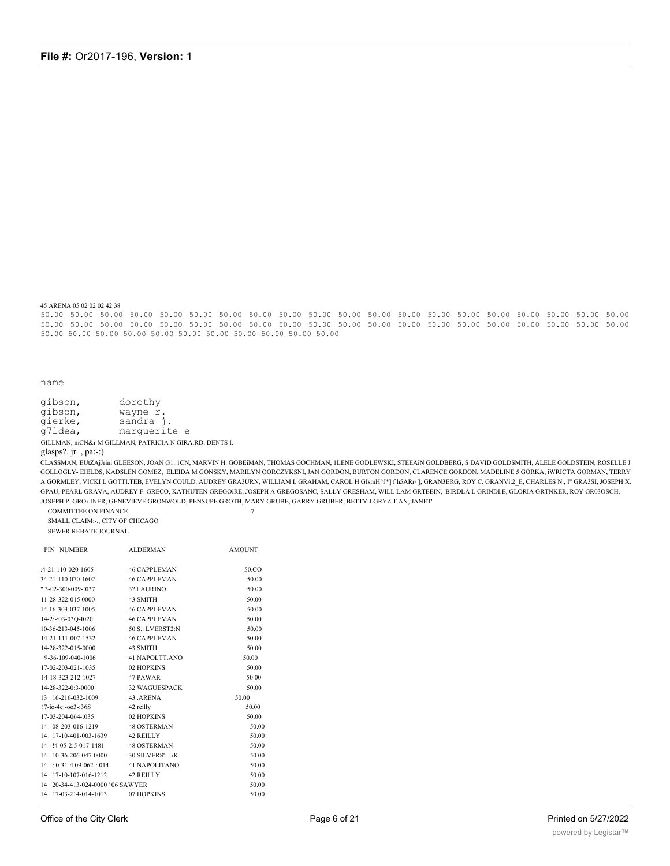45 ARENA 05 02 02 02 42 38

50.00 50.00 50.00 50.00 50.00 50.00 50.00 50.00 50.00 50.00 50.00 50.00 50.00 50.00 50.00 50.00 50.00 50.00 50.00 50.00 50.00 50.00 50.00 50.00 50.00 50.00 50.00 50.00 50.00 50.00 50.00 50.00 50.00 50.00 50.00 50.00 50.00 50.00 50.00 50.00 50.00 50.00 50.00 50.00 50.00 50.00 50.00 50.00 50.00 50.00 50.00

#### name

gibson, dorothy gibson, wayne r. gierke, sandra j.  $q71$ dea, marquerite e

GILLMAN, mCN&r M GILLMAN, PATRICIA N GIRA.RD, DENTS I. glasps?. jr., pa:-:)

CLASSMAN, EUtZAjJrini GLEESON, JOAN GL.ICN, MARVIN H. GOBEiMAN, THOMAS GOCHMAN, ILENE GODLEWSKI, STEEAIN GOLDBERG, S DAVID GOLDSMITH, ALELE GOLDSTEIN, ROSELLE J GOLLOGLY- EIELDS, KADSLEN GOMEZ, ELEIDA M GONSKY, MARILYN OORCZYKSNI, JAN GORDON, BURTON GORDON, CLARENCE GORDON, MADELINE 5 GORKA, iWRICTA GORMAN, TERRY A GORMLEY, VICKI L GOTTI.TEB, EVELYN COULD, AUDREY GRA3URN, WILLIAM I. GRAHAM, CAROL H GIsmH^J\*] fh5ARr\]; GRAN3ERG, ROY C. GRANVi:2\_E, CHARLES N., I" GRA3SI, JOSEPH X. GPAU, PEARL GRAVA, AUDREY F. GRECO, KATHUTEN GREGOIRE, JOSEPH A GREGOSANC, SALLY GRESHAM, WILL LAM GRTEEIN, BIRDLA L GRINDLE, GLORIA GRTNKER, ROY GR03OSCH, JOSEPH P. GROi-INER, GENEVIEVE GRONWOLD, PENSUPE GROTH, MARY GRUBE, GARRY GRUBER, BETTY J GRYZ.T.AN, JANET  $\overline{7}$ 

COMMITTEE ON FINANCE SMALL CLAIM:-,, CITY OF CHICAGO SEWER REBATE JOURNAL

| PIN NUMBER                              | <b>ALDERMAN</b>     | <b>AMOUNT</b> |
|-----------------------------------------|---------------------|---------------|
| $:4-21-110-020-1605$                    | 46 CAPPLEMAN        | 50.CO         |
| 34-21-110-070-1602                      | 46 CAPPLEMAN        | 50.00         |
| $".3 - 02 - 300 - 009 - 1037$           | 3? LAURINO          | 50.00         |
| 11-28-322-015 0000                      | 43 SMITH            | 50.00         |
| 14-16-303-037-1005                      | <b>46 CAPPLEMAN</b> | 50.00         |
| 14-2:-:03-03Q-I020                      | <b>46 CAPPLEMAN</b> | 50.00         |
| 10-36-213-045-1006                      | 50 S.: LVERST2:N    | 50.00         |
| 14-21-111-007-1532                      | <b>46 CAPPLEMAN</b> | 50.00         |
| 14-28-322-015-0000                      | 43 SMITH            | 50.00         |
| 9-36-109-040-1006                       | 41 NAPOLTT.ANO      | 50.00         |
| 17-02-203-021-1035                      | 02 HOPKINS          | 50.00         |
| 14-18-323-212-1027                      | 47 PAWAR            | 50.00         |
| 14-28-322-0:3-0000                      | 32 WAGUESPACK       | 50.00         |
| 13 16-216-032-1009                      | 43.ARENA            | 50.00         |
| $!7$ -io-4c:-003-:36S                   | 42 reilly           | 50.00         |
| 17-03-204-064-:035                      | 02 HOPKINS          | 50.00         |
| 14 08-203-016-1219                      | <b>48 OSTERMAN</b>  | 50.00         |
| 14 17-10-401-003-1639                   | 42 REILLY           | 50.00         |
| 14 !4-05-2:5-017-1481 48 OSTERMAN       |                     | 50.00         |
| 14 10-36-206-047-0000 30 SILVERS':::.iK |                     | 50.00         |
| $14 : 0 - 31 - 409 - 062 - 014$         | 41 NAPOLITANO       | 50.00         |
| 14 17-10-107-016-1212 42 REILLY         |                     | 50.00         |
| 14 20-34-413-024-0000 ' 06 SAWYER       |                     | 50.00         |
| 14 17-03-214-014-1013 07 HOPKINS        |                     | 50.00         |
|                                         |                     |               |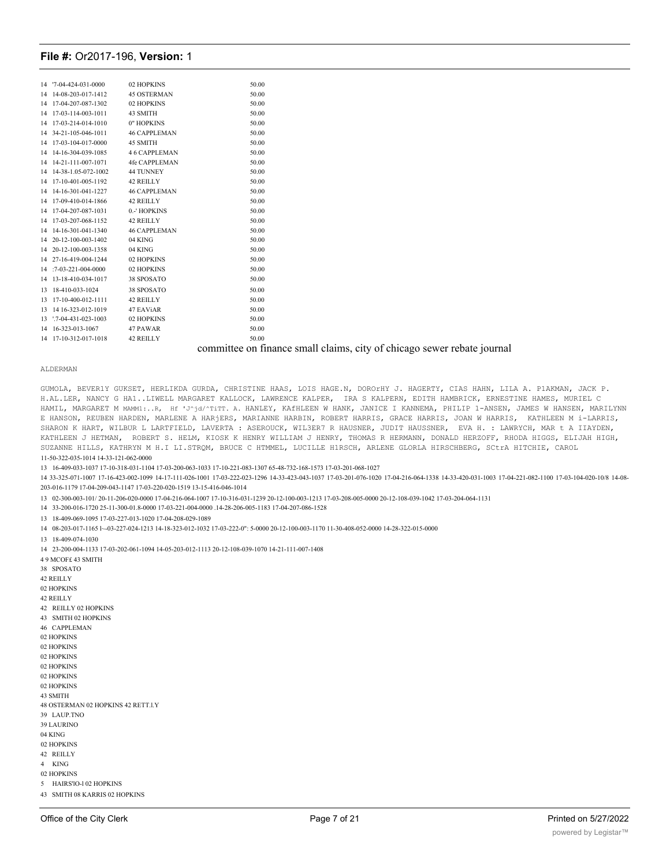| 14 | $'7 - 04 - 424 - 031 - 0000$ | 02 HOPKINS           | 50.00 |
|----|------------------------------|----------------------|-------|
| 14 | 14-08-203-017-1412           | <b>45 OSTERMAN</b>   | 50.00 |
| 14 | 17-04-207-087-1302           | 02 HOPKINS           | 50.00 |
| 14 | 17-03-114-003-1011           | 43 SMITH             | 50.00 |
| 14 | 17-03-214-014-1010           | 0" HOPKINS           | 50.00 |
| 14 | 34-21-105-046-1011           | <b>46 CAPPLEMAN</b>  | 50.00 |
| 14 | 17-03-104-017-0000           | 45 SMITH             | 50.00 |
| 14 | 14-16-304-039-1085           | <b>46 CAPPLEMAN</b>  | 50.00 |
| 14 | 14-21-111-007-1071           | 4fe CAPPLEMAN        | 50.00 |
| 14 | 14-38-1.05-072-1002          | <b>44 TUNNEY</b>     | 50.00 |
| 14 | 17-10-401-005-1192           | 42 REILLY            | 50.00 |
| 14 | 14-16-301-041-1227           | <b>46 CAPPLEMAN</b>  | 50.00 |
| 14 | 17-09-410-014-1866           | 42 REILLY            | 50.00 |
| 14 | 17-04-207-087-1031           | 0.-' HOPKINS         | 50.00 |
| 14 | 17-03-207-068-1152           | 42 REILLY            | 50.00 |
| 14 | 14-16-301-041-1340           | <b>46 CAPPLEMAN</b>  | 50.00 |
| 14 | 20-12-100-003-1402           | 04 KING              | 50.00 |
| 14 | 20-12-100-003-1358           | 04 KING              | 50.00 |
| 14 | 27-16-419-004-1244           | 02 HOPKINS           | 50.00 |
| 14 | $:7-03-221-004-0000$         | 02 HOPKINS           | 50.00 |
| 14 | 13-18-410-034-1017           | 38 SPOSATO           | 50.00 |
| 13 | 18-410-033-1024              | 38 SPOSATO           | 50.00 |
| 13 | 17-10-400-012-1111           | 42 REILLY            | 50.00 |
| 13 | 14 16-323-012-1019           | 47 EAViAR            | 50.00 |
| 13 | $7-04-431-023-1003$          | 02 HOPKINS           | 50.00 |
| 14 | 16-323-013-1067              | 47 PAWAR             | 50.00 |
| 14 | 17-10-312-017-1018           | 42 REILLY            | 50.00 |
|    |                              | $\ddot{\phantom{0}}$ |       |

#### committee on finance small claims, city of chicago sewer rebate journal

#### ALDERMAN

GUMOLA, BEVER1Y GUKSET, HERLIKDA GURDA, CHRISTINE HAAS, LOIS HAGE.N, DOROrHY J. HAGERTY, CIAS HAHN, LILA A. P1AKMAN, JACK P. H.AL.LER, NANCY G HA1..LIWELL MARGARET KALLOCK, LAWRENCE KALPER, IRA S KALPERN, EDITH HAMBRICK, ERNESTINE HAMES, MURIEL C HAMIL, MARGARET M MAMM1:..R, Hf 'J^jd/^TiTT. A. HANLEY, KAfHLEEN W HANK, JANICE I KANNEMA, PHILIP 1-ANSEN, JAMES W HANSEN, MARILYNN E HANSON, REUBEN HARDEN, MARLENE A HARjERS, MARIANNE HARBIN, ROBERT HARRIS, GRACE HARRIS, JOAN W HARRIS, KATHLEEN M i-LARRIS, SHARON K HART, WILBUR L LARTFIELD, LAVERTA : ASEROUCK, WIL3ER7 R HAUSNER, JUDIT HAUSSNER, EVA H. : LAWRYCH, MAR t A IIAYDEN, KATHLEEN J HETMAN, ROBERT S. HELM, KIOSK K HENRY WILLIAM J HENRY, THOMAS R HERMANN, DONALD HERZOFF, RHODA HIGGS, ELIJAH HIGH, SUZANNE HILLS, KATHRYN M H.I LI.STRQM, BRUCE C HTMMEL, LUCILLE H1RSCH, ARLENE GLORLA HIRSCHBERG, SCtrA HITCHIE, CAROL 11-50-322-035-1014 14-33-121-062-0000

13 16-409-033-1037 17-10-318-031-1104 17-03-200-063-1033 17-10-221-083-1307 65-48-732-168-1573 17-03-201-068-1027

14 33-325-071-1007 17-16-423-002-1099 14-17-111-026-1001 17-03-222-023-1296 14-33-423-043-1037 17-03-201-076-1020 17-04-216-064-1338 14-33-420-031-1003 17-04-221-082-1100 17-03-104-020-10/8 14-08- 203-016-1179 17-04-209-043-1147 17-03-220-020-1519 13-15-416-046-1014

13 02-300-003-101/ 20-11-206-020-0000 17-04-216-064-1007 17-10-316-031-1239 20-12-100-003-1213 17-03-208-005-0000 20-12-108-039-1042 17-03-204-064-1131

14 33-200-016-1720 25-11-300-01.8-0000 17-03-221-004-0000 .14-28-206-005-1183 17-04-207-086-1528

13 18-409-069-1095 17-03-227-013-1020 17-04-208-029-1089

14 08-203-017-1165 l~-03-227-024-1213 14-18-323-012-1032 17-03-222-0": 5-0000 20-12-100-003-1170 11-30-408-052-0000 14-28-322-015-0000

13 18-409-074-1030

14 23-200-004-1133 17-03-202-061-1094 14-05-203-012-1113 20-12-108-039-1070 14-21-111-007-1408

4 9 MCOF£ 43 SMITH 38 SPOSATO 42 REILLY 02 HOPKINS 42 REILLY 42 REILLY 02 HOPKINS 43 SMITH 02 HOPKINS 46 CAPPLEMAN 02 HOPKINS 02 HOPKINS 02 HOPKINS 02 HOPKINS 02 HOPKINS 02 HOPKINS 43 SMITH 48 OSTERMAN 02 HOPKINS 42 RETT.l.Y 39 LAUP.TNO 39 LAURINO 04 KING 02 HOPKINS 42 REILLY 4 KING 02 HOPKINS 5 HAIRS'lO-l 02 HOPKINS 43 SMITH 08 KARRIS 02 HOPKINS

44 TUNNEY 02 HOPKINS 38 SPOSATO 02 HOPKINS 02 HOPKINS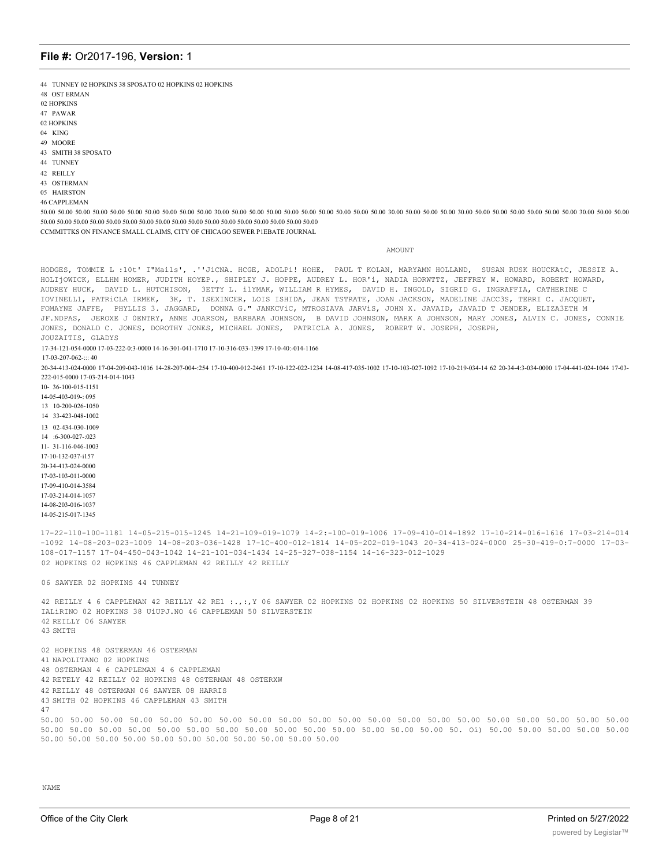44 TUNNEY 02 HOPKINS 38 SPOSATO 02 HOPKINS 02 HOPKINS

- 48 OST ERMAN
- 02 HOPKINS
- 47 PAWAR
- 02 HOPKINS
- 04 KING
- 49 MOORE
- 43 SMITH 38 SPOSATO
- 44 TUNNEY
- 42 REILLY
- 43 OSTERMAN
- 05 HAIRSTON
- 46 CAPPLEMAN

50.00 50.00 50.00 50.00 50.00 50.00 50.00 50.00 50.00 50.00 50.00 50.00 50.00 50.00 50.00 50.00 50.00 50.00 50.00 50.00 50.00 50.00 50.00 50.00 50.00 50.00 50.00 50.00 50.00 50.00 50.00 50.00 50.00 50.00 50.00 50.00 50.00 5 50.00 50.00 50.00 50.00 50.00 50.00 50.00 50.00 50.00 50.00 50.00 50.00 50.00 50.00 50.00 50.00 50.00

CCMMITTKS ON FINANCE SMALL CLAIMS, CITY OF CHICAGO SEWER P1EBATE JOURNAL

AMOUNT

HODGES, TOMMIE L :10t' I"Mails', .''JiCNA. HCGE, ADOLPi! HOHE, PAUL T KOLAN, MARYAMN HOLLAND, SUSAN RUSK HOUCKAtC, JESSIE A. HOLIjOWICK, ELLHM HOMER, JUDITH HOYEP., SHIPLEY J. HOPPE, AUDREY L. HOR'i, NADIA HORWTTZ, JEFFREY W. HOWARD, ROBERT HOWARD, AUDREY HUCK, DAVID L. HUTCHISON, 3ETTY L. ilYMAK, WILLIAM R HYMES, DAVID H. INGOLD, SIGRID G. INGRAFFIA, CATHERINE C IOVINELL1, PATRiCLA IRMEK, 3K, T. ISEXINCER, LOIS ISHIDA, JEAN TSTRATE, JOAN JACKSON, MADELINE JACC3S, TERRI C. JACQUET, FOMAYNE JAFFE, PHYLLIS 3. JAGGARD, DONNA G." JANKCViC, MTROSIAVA JARViS, JOHN X. JAVAID, JAVAID T JENDER, ELIZA3ETH M JF.NDPAS, JEROXE J 0ENTRY, ANNE JOARSON, BARBARA JOHNSON, B DAVID JOHNSON, MARK A JOHNSON, MARY JONES, ALVIN C. JONES, CONNIE JONES, DONALD C. JONES, DOROTHY JONES, MICHAEL JONES, PATRICLA A. JONES, ROBERT W. JOSEPH, JOSEPH, JOUZAITIS, GLADYS

17-34-121-054-0000 17-03-222-0:3-0000 14-16-301-041-1710 17-10-316-033-1399 17-10-40:-014-1166

50.00 50.00 50.00 50.00 50.00 50.00 50.00 50.00 50.00 50.00 50.00

17-03-207-062-::: 40

20-34-413-024-0000 17-04-209-043-1016 14-28-207-004-:254 17-10-400-012-2461 17-10-122-022-1234 14-08-417-035-1002 17-10-103-027-1092 17-10-219-034-14 62 20-34-4:3-034-0000 17-04-441-024-1044 17-03- 222-015-0000 17-03-214-014-1043

10- 36-100-015-1151

14-05-403-019-: 095

- 13 10-200-026-1050
- 14 33-423-048-1002

13 02-434-030-1009 14 :6-300-027-:023 11- 31-116-046-1003

17-10-132-037-i157 20-34-413-024-0000 17-03-103-011-0000 17-09-410-014-3584 17-03-214-014-1057

14-08-203-016-1037

14-05-215-017-1345

17-22-110-100-1181 14-05-215-015-1245 14-21-109-019-1079 14-2:-100-019-1006 17-09-410-014-1892 17-10-214-016-1616 17-03-214-014 -1092 14-08-203-023-1009 14-08-203-036-1428 17-1C-400-012-1814 14-05-202-019-1043 20-34-413-024-0000 25-30-419-0:7-0000 17-03- 108-017-1157 17-04-450-043-1042 14-21-101-034-1434 14-25-327-038-1154 14-16-323-012-1029 02 HOPKINS 02 HOPKINS 46 CAPPLEMAN 42 REILLY 42 REILLY

06 SAWYER 02 HOPKINS 44 TUNNEY

42 REILLY 4 6 CAPPLEMAN 42 REILLY 42 RE1 :.,:,Y 06 SAWYER 02 HOPKINS 02 HOPKINS 02 HOPKINS 50 SILVERSTEIN 48 OSTERMAN 39 IALiRINO 02 HOPKINS 38 UiUPJ.NO 46 CAPPLEMAN 50 SILVERSTEIN 42 REILLY 06 SAWYER 43 SMITH

02 HOPKINS 48 OSTERMAN 46 OSTERMAN 41 NAPOLITANO 02 HOPKINS 48 OSTERMAN 4 6 CAPPLEMAN 4 6 CAPPLEMAN 42 RETELY 42 REILLY 02 HOPKINS 48 OSTERMAN 48 OSTERXW 42 REILLY 48 OSTERMAN 06 SAWYER 08 HARRIS 43 SMITH 02 HOPKINS 46 CAPPLEMAN 43 SMITH 47 50.00 50.00 50.00 50.00 50.00 50.00 50.00 50.00 50.00 50.00 50.00 50.00 50.00 50.00 50.00 50.00 50.00 50.00 50.00 50.00 50.00 50.00 50.00 50.00 50.00 50.00 50.00 50.00 50.00 50.00 50.00 50.00 50.00 50.00 50. Oi) 50.00 50.00 50.00 50.00 50.00

JUAN, ISABEL JUDGE, BERNARD JUKASZ, ANNE M. JULIAN, JOANNE Z J(,'SGZf.'.9QM, -JJDI?:-: N.

NAME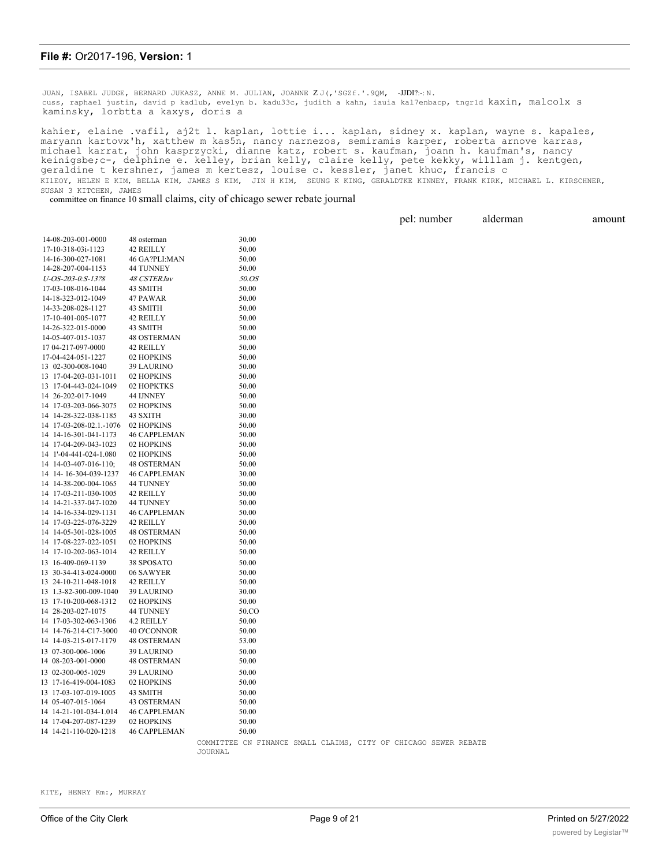JUAN, ISABEL JUDGE, BERNARD JUKASZ, ANNE M. JULIAN, JOANNE Z J (, 'SGZf.'.9QM, -JJDI?:-: N. cuss, raphael justin, david p kadlub, evelyn b. kadu33c, judith a kahn, iauia kal7enbacp, tngr1d kaxin, malcolx s kaminsky, lorbtta a kaxys, doris a

kahier, elaine .vafil, aj2t l. kaplan, lottie i... kaplan, sidney x. kaplan, wayne s. kapales, maryann kartovx'h, xatthew m kas5n, nancy narnezos, semiramis karper, roberta arnove karras, michael karrat, john kasprzycki, dianne katz, robert s. kaufman, joann h. kaufman's, nancy keinigsbe;c-, delphine e. kelley, brian kelly, claire kelly, pete kekky, willlam j. kentgen, geraldine t kershner, james m kertesz, louise c. kessler, janet khuc, francis c KIlEOY, HELEN E KIM, BELLA KIM, JAMES S KIM, JIN H KIM, SEUNG K KING, GERALDTKE KINNEY, FRANK KIRK, MICHAEL L. KIRSCHNER, SUSAN 3 KITCHEN, JAMES

committee on finance 10 small claims, city of chicago sewer rebate journal

|                         |                     |                                                                 |  | pel: number | alderman | amount |
|-------------------------|---------------------|-----------------------------------------------------------------|--|-------------|----------|--------|
| 14-08-203-001-0000      | 48 osterman         | 30.00                                                           |  |             |          |        |
| 17-10-318-03i-1123      | 42 REILLY           | 50.00                                                           |  |             |          |        |
| 14-16-300-027-1081      | 46 GA?PLI:MAN       | 50.00                                                           |  |             |          |        |
| 14-28-207-004-1153      | 44 TUNNEY           | 50.00                                                           |  |             |          |        |
| U-OS-203-0:S-13?8       | 48 CSTERJav         | <i>50.OS</i>                                                    |  |             |          |        |
| 17-03-108-016-1044      | 43 SMITH            | 50.00                                                           |  |             |          |        |
| 14-18-323-012-1049      | 47 PAWAR            | 50.00                                                           |  |             |          |        |
| 14-33-208-028-1127      | 43 SMITH            | 50.00                                                           |  |             |          |        |
| 17-10-401-005-1077      | 42 REILLY           | 50.00                                                           |  |             |          |        |
| 14-26-322-015-0000      | 43 SMITH            | 50.00                                                           |  |             |          |        |
| 14-05-407-015-1037      | <b>48 OSTERMAN</b>  | 50.00                                                           |  |             |          |        |
| 17 04-217-097-0000      | 42 REILLY           | 50.00                                                           |  |             |          |        |
| 17-04-424-051-1227      | 02 HOPKINS          | 50.00                                                           |  |             |          |        |
| 13 02-300-008-1040      | <b>39 LAURINO</b>   | 50.00                                                           |  |             |          |        |
| 13 17-04-203-031-1011   | 02 HOPKINS          | 50.00                                                           |  |             |          |        |
| 13 17-04-443-024-1049   | 02 HOPKTKS          | 50.00                                                           |  |             |          |        |
| 14 26-202-017-1049      | 44 IJNNEY           | 50.00                                                           |  |             |          |        |
| 14 17-03-203-066-3075   | 02 HOPKINS          | 50.00                                                           |  |             |          |        |
| 14 14-28-322-038-1185   | 43 SXITH            | 30.00                                                           |  |             |          |        |
| 14 17-03-208-02.1.-1076 | 02 HOPKINS          | 50.00                                                           |  |             |          |        |
| 14 14-16-301-041-1173   | <b>46 CAPPLEMAN</b> | 50.00                                                           |  |             |          |        |
| 14 17-04-209-043-1023   | 02 HOPKINS          | 50.00                                                           |  |             |          |        |
| 14 1'-04-441-024-1.080  | 02 HOPKINS          | 50.00                                                           |  |             |          |        |
| 14 14-03-407-016-110;   | 48 OSTERMAN         | 50.00                                                           |  |             |          |        |
| 14 14-16-304-039-1237   | <b>46 CAPPLEMAN</b> | 30.00                                                           |  |             |          |        |
| 14 14-38-200-004-1065   | 44 TUNNEY           | 50.00                                                           |  |             |          |        |
| 14 17-03-211-030-1005   | 42 REILLY           | 50.00                                                           |  |             |          |        |
| 14 14-21-337-047-1020   | 44 TUNNEY           | 50.00                                                           |  |             |          |        |
| 14 14-16-334-029-1131   | <b>46 CAPPLEMAN</b> | 50.00                                                           |  |             |          |        |
| 14 17-03-225-076-3229   | 42 REILLY           | 50.00                                                           |  |             |          |        |
| 14 14-05-301-028-1005   | 48 OSTERMAN         | 50.00                                                           |  |             |          |        |
| 14 17-08-227-022-1051   | 02 HOPKINS          | 50.00                                                           |  |             |          |        |
| 14 17-10-202-063-1014   | 42 REILLY           | 50.00                                                           |  |             |          |        |
| 13 16-409-069-1139      | 38 SPOSATO          | 50.00                                                           |  |             |          |        |
| 13 30-34-413-024-0000   | 06 SAWYER           | 50.00                                                           |  |             |          |        |
| 13 24-10-211-048-1018   | 42 REILLY           | 50.00                                                           |  |             |          |        |
| 13 1.3-82-300-009-1040  | <b>39 LAURINO</b>   | 30.00                                                           |  |             |          |        |
| 13 17-10-200-068-1312   | 02 HOPKINS          | 50.00                                                           |  |             |          |        |
| 14 28-203-027-1075      | 44 TUNNEY           | 50.CO                                                           |  |             |          |        |
| 14 17-03-302-063-1306   | 4.2 REILLY          | 50.00                                                           |  |             |          |        |
| 14 14-76-214-C17-3000   | 40 O'CONNOR         | 50.00                                                           |  |             |          |        |
| 14 14-03-215-017-1179   | <b>48 OSTERMAN</b>  | 53.00                                                           |  |             |          |        |
| 13 07-300-006-1006      | 39 LAURINO          | 50.00                                                           |  |             |          |        |
| 14 08-203-001-0000      | <b>48 OSTERMAN</b>  | 50.00                                                           |  |             |          |        |
|                         |                     |                                                                 |  |             |          |        |
| 13 02-300-005-1029      | <b>39 LAURINO</b>   | 50.00                                                           |  |             |          |        |
| 13 17-16-419-004-1083   | 02 HOPKINS          | 50.00                                                           |  |             |          |        |
| 13 17-03-107-019-1005   | 43 SMITH            | 50.00                                                           |  |             |          |        |
| 14 05-407-015-1064      | 43 OSTERMAN         | 50.00                                                           |  |             |          |        |
| 14 14-21-101-034-1.014  | <b>46 CAPPLEMAN</b> | 50.00                                                           |  |             |          |        |
| 14 17-04-207-087-1239   | 02 HOPKINS          | 50.00                                                           |  |             |          |        |
| 14 14-21-110-020-1218   | <b>46 CAPPLEMAN</b> | 50.00                                                           |  |             |          |        |
|                         |                     | COMMITTEE CN FINANCE SMALL CLAIMS, CITY OF CHICAGO SEWER REBATE |  |             |          |        |

JOURNAL

KITE, HENRY Km:, MURRAY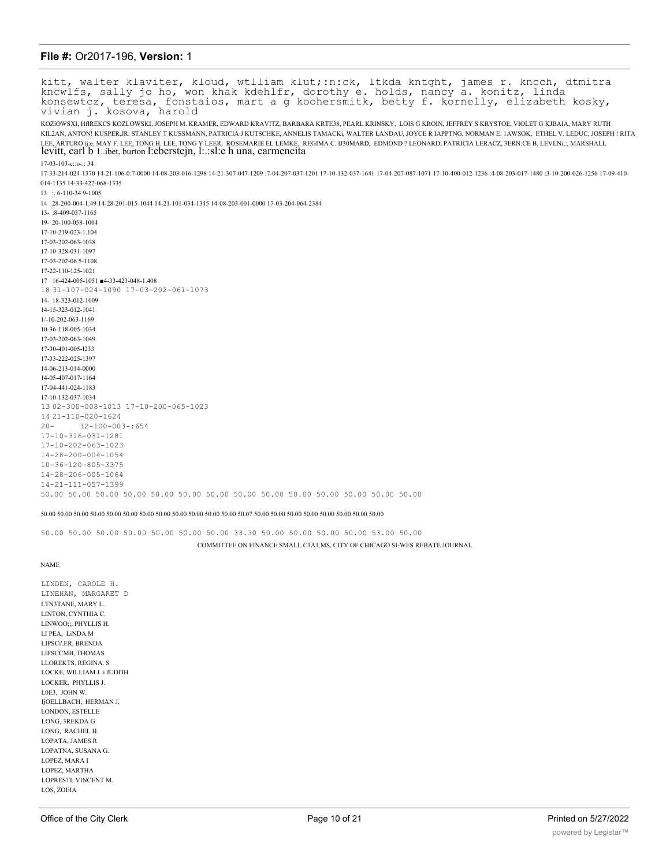kitt, walter klaviter, kloud, wtlliam klut;:n:ck, ltkda kntght, james r. kncch, dtmitra<br>kncwlfs, sally jo ho, won khak kdehlfr, dorothy e. holds, nancy a. konitz, linda<br>konsewtcz, teresa, fonstaios, mart a g koohersmitk, b KOZIOWSXI, HIREKCS KOZLOWSKI, JOSEPH M. KRAMER, EDWARD KRAVITZ, BARBARA KRTE38, PEARL KRINSKY, LOIS G KROIN, JEFFREY S KRYSTOE, VIOLET G KJBAIA, MARY RUTH KIL2AN, ANTON! KUSPER,JR. STANLEY T KUSSMANN, PATRICIA J KUTSCHKE, ANNELIS TAMACKi, WALTER LANDAU, JOYCE R IAPPTNG, NORMAN E. 1AWSOK, ETHEL V. LEDUC, JOSEPH ! RITA LEE, ARTURO ij:e, MAY F. LEE, TONG H. LEE, TONG Y LEER, ROSEMARIE EL LEMKE, REGIMA C. IJ30MARD, EDMOND ? LEONARD, PATRICIA LERACZ, 3ERN:CE B. LEVLNi;;, MARSHALL levitt, carl b 1. ibet, burton l: eberstejn, l: sl: e h una, carmencita  $17-03-103-0.02 \cdot 34$ 17-33-214-024-1370 14-21-106-0:7-0000 14-08-203-016-1298 14-21-307-047-1209 :7-04-207-037-1201 17-10-132-037-1641 17-04-207-087-1071 17-10-400-012-1236 :4-08-203-017-1480 :3-10-200-026-1256 17-09-410-014-1135 14-33-422-068-1335  $13 : . 6 - 110 - 349 - 1005$ 14 28-200-004-1:49 14-28-201-015-1044 14-21-101-034-1345 14-08-203-001-0000 17-03-204-064-2384  $13 - 8 - 409 - 037 - 1165$ 19-20-100-058-1004 17-10-219-023-1.104 17-03-202-063-1038 17-10-328-031-1097 17-03-202-06.5-1108 17-22-110-125-1021 17 16-424-005-1051 4-33-423-048-1.408 18 31-107-024-1090 17-03-202-061-1073 14-18-323-012-1009 14-15-323-012-1041  $1/-10-202-063-1169$ 10-36-118-005-1034 17-03-202-063-1049 17-30-401-005-1233 17-33-222-025-1397 14-06-213-014-0000 14-05-407-017-1164 17-04-441-024-1183 17-10-132-037-1034 13 02-300-008-1013 17-10-200-065-1023 14 21-110-020-1624  $20 12 - 100 - 003 - : 654$  $17 - 10 - 316 - 031 - 1281$  $17 - 10 - 202 - 063 - 1023$  $14 - 28 - 200 - 004 - 1054$  $10 - 36 - 120 - 805 - 3375$  $14 - 28 - 206 - 005 - 1064$  $14 - 21 - 111 - 057 - 1399$ 50.00 50.00 50.00 50.00 50.00 50.00 50.00 50.00 50.00 50.00 50.00 50.00 50.00 50.00

 $50.00\ 50.00\ 50.00\ 50.00\ 50.00\ 50.00\ 50.00\ 50.00\ 50.00\ 50.00\ 50.00\ 50.00\ 50.00\ 50.00\ 50.00\ 50.00\ 50.00\ 50.00\ 50.00\ 50.00\ 50.00\ 50.00$ 

50.00 50.00 50.00 50.00 50.00 50.00 50.00 33.30 50.00 50.00 50.00 50.00 53.00 50.00 COMMITTEE ON FINANCE SMALL C1A1.MS, CITY OF CHICAGO SI-WES REBATE JOURNAL

**NAME** 

LINDEN, CAROLE H. LINEHAN, MARGARET D LTN3TANE, MARY L. LINTON, CYNTHIA C. LINWOO;;, PHYLLIS H. LI PEA. LINDA M LIPSCi'.ER, BRENDA LIFSCCMB, THOMAS **LLOREKTS REGINA S** LOCKE, WILLIAM J. i JUDI'IH LOCKER. PHYLLIS J. LOE3, JOHN W. IjOELLBACH, HERMAN J. LONDON, ESTELLE LONG, 3REKDA G LONG, RACHEL H. **LOPATA, JAMES R** LOPATNA, SUSANA G. **LOPEZ, MARA I** LOPEZ, MARTHA LOPRESTI, VINCENT M. LOS, ZOEIA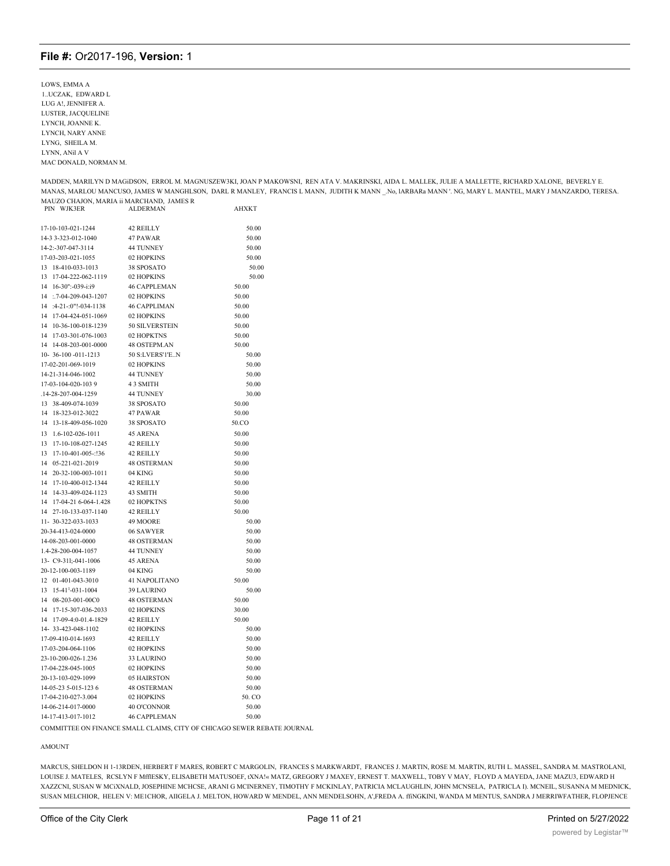LOWS, EMMA A 1..UCZAK, EDWARD L LUG A!, JENNIFER A. LUSTER, JACQUELINE LYNCH, JOANNE K. LYNCH, NARY ANNE LYNG. SHEILA M. LYNN, ANil A V MAC DONALD, NORMAN M.

MADDEN, MARILYN D MAGIDSON, ERROL M. MAGNUSZEW3KI, JOAN P MAKOWSNI, REN ATA V. MAKRINSKI, AIDA L. MALLEK, JULIE A MALLETTE, RICHARD XALONE, BEVERLY E. MANAS, MARLOU MANCUSO, JAMES W MANGHLSON, DARL R MANLEY, FRANCIS L MANN, JUDITH K MANN \_No, IARBARa MANN '. NG, MARY L. MANTEL, MARY J MANZARDO, TERESA. MAUZO CHAJON, MARIA ii MARCHAND, JAMES R<br>PIN WJK3ER ALDERMAN **AHXKT** 

|                                    |                      | AUAN 1 |
|------------------------------------|----------------------|--------|
| 17-10-103-021-1244                 | 42 REILLY            | 50.00  |
| 14-3 3-323-012-1040                | 47 PAWAR             | 50.00  |
| 14-2:-307-047-3114                 | 44 TUNNEY            | 50.00  |
| 17-03-203-021-1055                 | 02 HOPKINS           | 50.00  |
| 13<br>18-410-033-1013              | 38 SPOSATO           | 50.00  |
| 13<br>17-04-222-062-1119           | 02 HOPKINS           | 50.00  |
| 16-30":-039-i:i9<br>14             | <b>46 CAPPLEMAN</b>  | 50.00  |
| 14 :.7-04-209-043-1207             | 02 HOPKINS           | 50.00  |
| $:4-21$ $:0$ "! $-034-1138$<br>14  | <b>46 CAPPLIMAN</b>  | 50.00  |
| 17-04-424-051-1069<br>14           | 02 HOPKINS           | 50.00  |
| 10-36-100-018-1239<br>14           | 50 SILVERSTEIN       | 50.00  |
| 14<br>17-03-301-076-1003           | 02 HOPKTNS           | 50.00  |
| 14-08-203-001-0000<br>14           | <b>48 OSTEPM.AN</b>  | 50.00  |
| 10-36-100 -011-1213                | 50 S:LVERS'1'EN      | 50.00  |
| 17-02-201-069-1019                 | 02 HOPKINS           | 50.00  |
| 14-21-314-046-1002                 | <b>44 TUNNEY</b>     | 50.00  |
| 17-03-104-020-1039                 | 4 3 SMITH            | 50.00  |
| .14-28-207-004-1259                | 44 TUNNEY            | 30.00  |
| 13 38-409-074-1039                 | 38 SPOSATO           | 50.00  |
| 14<br>18-323-012-3022              | 47 PAWAR             | 50.00  |
| 14<br>13-18-409-056-1020           | 38 SPOSATO           | 50.CO  |
| 13<br>1.6-102-026-1011             | <b>45 ARENA</b>      | 50.00  |
| 17-10-108-027-1245<br>13           | <b>42 REILLY</b>     | 50.00  |
| 13<br>17-10-401-005-:!36           | 42 REILLY            | 50.00  |
| 14<br>05-221-021-2019              | <b>48 OSTERMAN</b>   | 50.00  |
| 14<br>20-32-100-003-1011           | 04 KING              | 50.00  |
| 17-10-400-012-1344<br>14           | 42 REILLY            | 50.00  |
| 14<br>14-33-409-024-1123           | 43 SMITH             | 50.00  |
| 14<br>17-04-21 6-064-1.428         | 02 HOPKTNS           | 50.00  |
| 14<br>27-10-133-037-1140           | 42 REILLY            | 50.00  |
| 11-30-322-033-1033                 | 49 MOORE             | 50.00  |
| 20-34-413-024-0000                 | 06 SAWYER            | 50.00  |
| 14-08-203-001-0000                 | <b>48 OSTERMAN</b>   | 50.00  |
| 1.4-28-200-004-1057                | <b>44 TUNNEY</b>     | 50.00  |
| 13- C9-311;-041-1006               | <b>45 ARENA</b>      | 50.00  |
| 20-12-100-003-1189                 | 04 KING              | 50.00  |
| 12 01-401-043-3010                 | 41 NAPOLITANO        | 50.00  |
| 15-41 <sup>1</sup> -031-1004<br>13 | 39 LAURINO           | 50.00  |
| 14 08-203-001-00C0                 | <b>48 OSTERMAN</b>   | 50.00  |
| 14 17-15-307-036-2033              | 02 HOPKINS           | 30.00  |
| 14 17-09-4:0-01.4-1829             | 42 REILLY            | 50.00  |
| 14-33-423-048-1102                 | 02 HOPKINS           | 50.00  |
| 17-09-410-014-1693                 | <b>42 REILLY</b>     | 50.00  |
| 17-03-204-064-1106                 | 02 HOPKINS           | 50.00  |
| 23-10-200-026-1.236                | 33 LAURINO           | 50.00  |
| 17-04-228-045-1005                 | 02 HOPKINS           | 50.00  |
| 20-13-103-029-1099                 | 05 HAIRSTON          | 50.00  |
| 14-05-23 5-015-123 6               | <b>48 OSTERMAN</b>   | 50.00  |
| 17-04-210-027-3.004                | 02 HOPKINS           | 50. CO |
| 14-06-214-017-0000                 | 40 O'CONNOR          | 50.00  |
| 14-17-413-017-1012                 | <b>46 CAPPI EMAN</b> | 50.00  |

COMMITTEE ON FINANCE SMALL CLAIMS, CITY OF CHICAGO SEWER REBATE JOURNAL

#### **AMOUNT**

MARCUS, SHELDON H 1-13RDEN, HERBERT F MARES, ROBERT C MARGOLIN, FRANCES S MARKWARDT, FRANCES J. MARTIN, ROSE M. MARTIN, RUTH L. MASSEL, SANDRA M. MASTROLANI, LOUISE J. MATELES, RCSLYN F MfflESKY, ELISABETH MATUSOEF, tXNA!« MATZ, GREGORY J MAXEY, ERNEST T. MAXWELL, TOBY V MAY, FLOYD A MAYEDA, JANE MAZU3, EDWARD H XAZZCNI, SUSAN W MCiXNALD, JOSEPHINE MCHCSE, ARANI G MCINERNEY, TIMOTHY F MCKINLAY, PATRICIA MCLAUGHLIN, JOHN MCNSELA, PATRICLA I). MCNEIL, SUSANNA M MEDNICK, SUSAN MELCHIOR, HELEN V: MEICHOR, AIIGELA J. MELTON, HOWARD W MENDEL, ANN MENDELSOHN, A',FREDA A. ffiNGKINI, WANDA M MENTUS, SANDRA J MERRIWFATHER, FLOPJENCE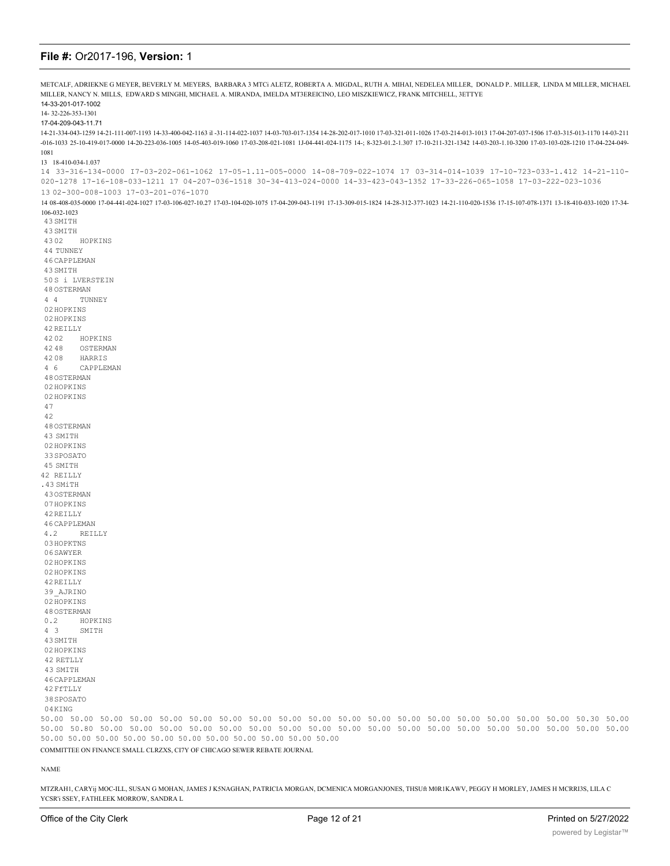| METCALF, ADRIEKNE G MEYER, BEVERLY M. MEYERS, BARBARA 3 MTCi ALETZ, ROBERTA A. MIGDAL, RUTH A. MIHAI, NEDELEA MILLER, DONALD P MILLER, LINDA M MILLER, MICHAEL                                                                                     |
|----------------------------------------------------------------------------------------------------------------------------------------------------------------------------------------------------------------------------------------------------|
| MILLER, NANCY N. MILLS, EDWARD S MINGHI, MICHAEL A. MIRANDA, IMELDA MT3EREICINO, LEO MISZKIEWICZ, FRANK MITCHELL, 3ETTYE<br>14-33-201-017-1002                                                                                                     |
| 14-32-226-353-1301                                                                                                                                                                                                                                 |
| 17-04-209-043-11.71                                                                                                                                                                                                                                |
| 14-03-211 (-6012-201-201-201-201-201-201-201-201-103 1-104-02-1163 il-31-114-022-1037 14-03-703-017-1354 14-28-202-017-1010 17-03-321-011-1026 17-03-214-013-1013 17-04-207-037-1506 17-03-315-013-1170 14-03-211                                  |
| -016-1033 25-10-419-017-0000 14-20-223-036-1005 14-05-403-019-1060 17-03-208-021-1081 1J-04-441-024-1175 14-; 8-323-01.2-1.307 17-10-211-321-1342 14-03-203-1.10-3200 17-03-103-028-1210 17-04-224-049-                                            |
| 1081                                                                                                                                                                                                                                               |
| 13 18-410-034-1.037<br>14 33-316-134-0000 17-03-202-061-1062 17-05-1.11-005-0000 14-08-709-022-1074 17 03-314-014-1039 17-10-723-033-1.412 14-21-110-                                                                                              |
| 020-1278 17-16-108-033-1211 17 04-207-036-1518 30-34-413-024-0000 14-33-423-043-1352 17-33-226-065-1058 17-03-222-023-1036                                                                                                                         |
| 13 02-300-008-1003 17-03-201-076-1070                                                                                                                                                                                                              |
| 14 08-408-035-0000 17-04-441-024-1027 17-03-106-027-10.27 17-03-104-020-1075 17-04-209-043-1191 17-13-309-015-1824 14-28-312-377-1023 14-21-110-020-1536 17-15-107-078-1371 13-18-410-033-1020 17-34-                                              |
| 106-032-1023<br>43 SMITH                                                                                                                                                                                                                           |
| 43 SMITH                                                                                                                                                                                                                                           |
| 4302<br>HOPKINS                                                                                                                                                                                                                                    |
| 44 TUNNEY                                                                                                                                                                                                                                          |
| 46 CAPPLEMAN                                                                                                                                                                                                                                       |
| 43 SMITH                                                                                                                                                                                                                                           |
| 50S i LVERSTEIN                                                                                                                                                                                                                                    |
| 48 OSTERMAN                                                                                                                                                                                                                                        |
| 44<br>TUNNEY<br>02 HOPKINS                                                                                                                                                                                                                         |
| 02 HOPKINS                                                                                                                                                                                                                                         |
| 42 REILLY                                                                                                                                                                                                                                          |
| 4202<br>HOPKINS                                                                                                                                                                                                                                    |
| 4248<br>OSTERMAN                                                                                                                                                                                                                                   |
| 4208<br>HARRIS                                                                                                                                                                                                                                     |
| 4 6<br>CAPPLEMAN                                                                                                                                                                                                                                   |
| 48 OSTERMAN<br>02 HOPKINS                                                                                                                                                                                                                          |
| 02 HOPKINS                                                                                                                                                                                                                                         |
| 47                                                                                                                                                                                                                                                 |
| 42                                                                                                                                                                                                                                                 |
| 48 OSTERMAN                                                                                                                                                                                                                                        |
| 43 SMITH                                                                                                                                                                                                                                           |
| 02 HOPKINS                                                                                                                                                                                                                                         |
| 33 SPOSATO                                                                                                                                                                                                                                         |
| 45 SMITH                                                                                                                                                                                                                                           |
| 42 REILLY<br>.43 SMiTH                                                                                                                                                                                                                             |
| 430STERMAN                                                                                                                                                                                                                                         |
| 07HOPKINS                                                                                                                                                                                                                                          |
| 42 REILLY                                                                                                                                                                                                                                          |
| 46 CAPPLEMAN                                                                                                                                                                                                                                       |
| 4.2<br>REILLY                                                                                                                                                                                                                                      |
| 03 HOPKTNS                                                                                                                                                                                                                                         |
| 06 SAWYER<br>02 HOPKINS                                                                                                                                                                                                                            |
| 02 HOPKINS                                                                                                                                                                                                                                         |
| 42 REILLY                                                                                                                                                                                                                                          |
| 39 AJRINO                                                                                                                                                                                                                                          |
| 02 HOPKINS                                                                                                                                                                                                                                         |
| 48 OSTERMAN                                                                                                                                                                                                                                        |
| 0.2<br>HOPKINS                                                                                                                                                                                                                                     |
| $4 \quad 3$<br>SMITH<br>43 SMITH                                                                                                                                                                                                                   |
| 02 HOPKINS                                                                                                                                                                                                                                         |
| 42 RETLLY                                                                                                                                                                                                                                          |
| 43 SMITH                                                                                                                                                                                                                                           |
| 46 CAPPLEMAN                                                                                                                                                                                                                                       |
| 42 FfTLLY                                                                                                                                                                                                                                          |
| 38 SPOSATO                                                                                                                                                                                                                                         |
| 04KING                                                                                                                                                                                                                                             |
| 50.00 50.00 50.00 50.00 50.00 50.00 50.00 50.00 50.00 50.00 50.00 50.00 50.00 50.00 50.00 50.00 50.00 50.00 50.30 50.00<br>50.00 50.80 50.00 50.00 50.00 50.00 50.00 50.00 50.00 50.00 50.00 50.00 50.00 50.00 50.00 50.00 50.00 50.00 50.00 50.00 |
| 50.00 50.00 50.00 50.00 50.00 50.00 50.00 50.00 50.00 50.00 50.00                                                                                                                                                                                  |
| COMMITTEE ON FINANCE SMALL CLRZXS, CI7Y OF CHICAGO SEWER REBATE JOURNAL                                                                                                                                                                            |

NAME

MTZRAH1, CARYij MOC-ILL, SUSAN G MOHAN, JAMES J K5NAGHAN, PATRICIA MORGAN, DCMENICA MORGANJONES, THSUft M0R1KAWV, PEGGY H MORLEY, JAMES H MCRRI3S, LILA C YCSR'i SSEY, FATHLEEK MORROW, SANDRA L

Moscow (1982), regarding the contract of the contract of the contract of the contract of the contract of the contract of the contract of the contract of the contract of the contract of the contract of the contract of the c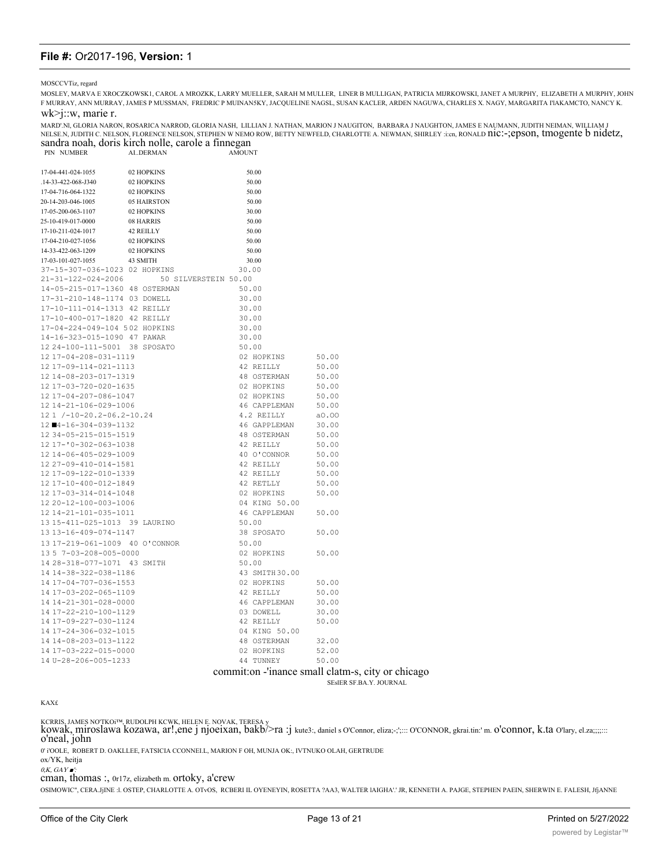MOSCCVTiz, regard

MOSLEY, MARVA E XROCZKOWSK1, CAROL A MROZKK, LARRY MUELLER, SARAH M MULLER, LINER B MULLIGAN, PATRICIA MIJRKOWSKI, JANET A MURPHY, ELIZABETH A MURPHY, JOHN F MURRAY, ANN MURRAY, JAMES P MUSSMAN, FREDRIC P MUINANSKY, JACQUELINE NAGSL, SUSAN KACLER, ARDEN NAGUWA, CHARLES X. NAGY, MARGARITA I'IAKAMCTO, NANCY K.

#### $wk > j::w$ , marie r.

MARD'NI, GLORIA NARON, ROSARICA NARROD, GLORIA NASH, LILLIAN J. NATHAN, MARION J NAUGITON, BARBARA J NAUGHTON, JAMES E NAUMANN, JUDITH NEIMAN, WILLIAM J<br>NELSE.N, JUDITH C. NELSON, FLORENCE NELSON, STEPHEN W NEMO ROW, BETTY sandra noah, doris kirch nolle, carole a finnegan

| PIN NUMBER                                               | AIDERMAN                                | <b>AMOUNT</b>               |          |
|----------------------------------------------------------|-----------------------------------------|-----------------------------|----------|
|                                                          |                                         |                             |          |
| 17-04-441-024-1055                                       | 02 HOPKINS                              | 50.00                       |          |
| .14-33-422-068-J340                                      | 02 HOPKINS                              | 50.00                       |          |
| 17-04-716-064-1322                                       | 02 HOPKINS                              | 50.00                       |          |
| 20-14-203-046-1005                                       | 05 HAIRSTON                             | 50.00                       |          |
| 17-05-200-063-1107                                       | 02 HOPKINS                              | 30.00                       |          |
| 25-10-419-017-0000                                       | 08 HARRIS                               | 50.00                       |          |
| 17-10-211-024-1017                                       | 42 REILLY                               | 50.00                       |          |
| 17-04-210-027-1056                                       | 02 HOPKINS                              | 50.00                       |          |
| 14-33-422-063-1209                                       | 02 HOPKINS                              | 50.00                       |          |
| 17-03-101-027-1055                                       | 43 SMITH                                | 30.00                       |          |
| 37-15-307-036-1023 02 HOPKINS                            |                                         | 30.00                       |          |
|                                                          | 21-31-122-024-2006 50 SILVERSTEIN 50.00 |                             |          |
| 14-05-215-017-1360 48 OSTERMAN                           |                                         | 50.00                       |          |
| 17-31-210-148-1174 03 DOWELL                             |                                         | 30.00                       |          |
| 17-10-111-014-1313 42 REILLY                             |                                         | 30.00                       |          |
| 17-10-400-017-1820 42 REILLY                             |                                         | 30.00                       |          |
| 17-04-224-049-104 502 HOPKINS                            |                                         | 30.00                       |          |
| 14-16-323-015-1090 47 PAWAR                              |                                         | 30.00                       |          |
| 12 24-100-111-5001 38 SPOSATO                            |                                         | 50.00                       |          |
| 12 17-04-208-031-1119                                    |                                         | 02 HOPKINS                  | 50.00    |
| 12 17-09-114-021-1113                                    |                                         | 42 REILLY                   | 50.00    |
| 12 14-08-203-017-1319                                    |                                         | 48 OSTERMAN                 | 50.00    |
| 12 17-03-720-020-1635                                    |                                         | 02 HOPKINS                  | 50.00    |
| 12 17-04-207-086-1047                                    |                                         | 02 HOPKINS                  | 50.00    |
| 12 14-21-106-029-1006                                    |                                         | 46 CAPPLEMAN                | 50.00    |
| 12 1 /-10-20.2-06.2-10.24                                |                                         | 4.2 REILLY                  | a0.00    |
| 12 ■4-16-304-039-1132                                    |                                         | 46 GAPPLEMAN                | 30.00    |
| 12 34-05-215-015-1519                                    |                                         | 48 OSTERMAN                 | 50.00    |
| 12 17-'0-302-063-1038                                    |                                         | 42 REILLY                   | 50.00    |
| 12 14-06-405-029-1009                                    |                                         | 40 O'CONNOR                 | 50.00    |
| 12 27-09-410-014-1581                                    |                                         | 42 REILLY                   | 50.00    |
| 12 17-09-122-010-1339                                    |                                         | 42 REILLY                   | 50.00    |
| 12 17-10-400-012-1849                                    |                                         | 42 RETLLY                   | 50.00    |
| 12 17-03-314-014-1048                                    |                                         | 02 HOPKINS                  | 50.00    |
| 12 20-12-100-003-1006                                    |                                         | 04 KING 50.00               |          |
| 12 14-21-101-035-1011                                    |                                         | 46 CAPPLEMAN 50.00          |          |
| 13 15-411-025-1013 39 LAURINO                            |                                         | 50.00                       |          |
| 13 13-16-409-074-1147                                    |                                         | 38 SPOSATO                  | 50.00    |
| 13 17-219-061-1009 40 O'CONNOR<br>13 5 7-03-208-005-0000 |                                         | 50.00                       |          |
| 13 5 7-03-208-005-0000                                   |                                         | 02 HOPKINS                  | 50.00    |
| 14 28-318-077-1071 43 SMITH                              |                                         | 50.00                       |          |
| 14 14-38-322-038-1186                                    |                                         | 43 SMITH 30.00              |          |
| 14 17-04-707-036-1553                                    |                                         | 02 HOPKINS                  | 50.00    |
| 14 17-03-202-065-1109                                    |                                         | 42 REILLY                   | 50.00    |
| 14 14-21-301-028-0000                                    |                                         | 46 CAPPLEMAN                | 30.00    |
| 14 17-22-210-100-1129                                    |                                         | 03 DOWELL                   | 30.00    |
| 14 17-09-227-030-1124                                    |                                         | 42 REILLY                   | 50.00    |
| 14 17-24-306-032-1015                                    |                                         | 04 KING 50.00               |          |
| 14 14-08-203-013-1122                                    |                                         | 48 OSTERMAN                 | 32.00    |
| 14 17-03-222-015-0000                                    |                                         | 02 HOPKINS                  | 52.00    |
| 14 U-28-206-005-1233                                     |                                         | 44 TUNNEY                   | 50.00    |
|                                                          |                                         | and the company of the com- | . . 11 1 |

# committon - 'inance small clatm-s, city or chicago

SESIER SF.BA.Y. JOURNAL

KCRRIS, JAMES NOTKOJ™, RUDOLPH KCWK, HELEN E. NOVAK, TERESA y<br>kowak, miroslawa kozawa, ar!,ene j njoeixan, bakb/>ra :j kute3:, daniel s O'Connor, eliza;-;';::: O'CONNOR, gkrai.tin:' m. O'CONNOr, k.ta O'lary, el.za;;;;::: o'neal, john

 $0'$ i'OOLE, ROBERT D. OAKLLEE, FATSICIA CCONNELL, MARION F OH, MUNJA OK:, IVTNUKO OLAH, GERTRUDE ox/YK, heitja

 $0, K, GAY$ 

cman, thomas:, 0r17z, elizabeth m. ortoky, a'crew

OSIMOWIC", CERA.JjINE :L OSTEP, CHARLOTTE A. OTvOS, RCBERI IL OYENEYIN, ROSETTA ?AA3, WALTER IAIGHA'.' JR, KENNETH A. PAJGE, STEPHEN PAEIN, SHERWIN E. FALESH, JfjANNE

 $KAXf$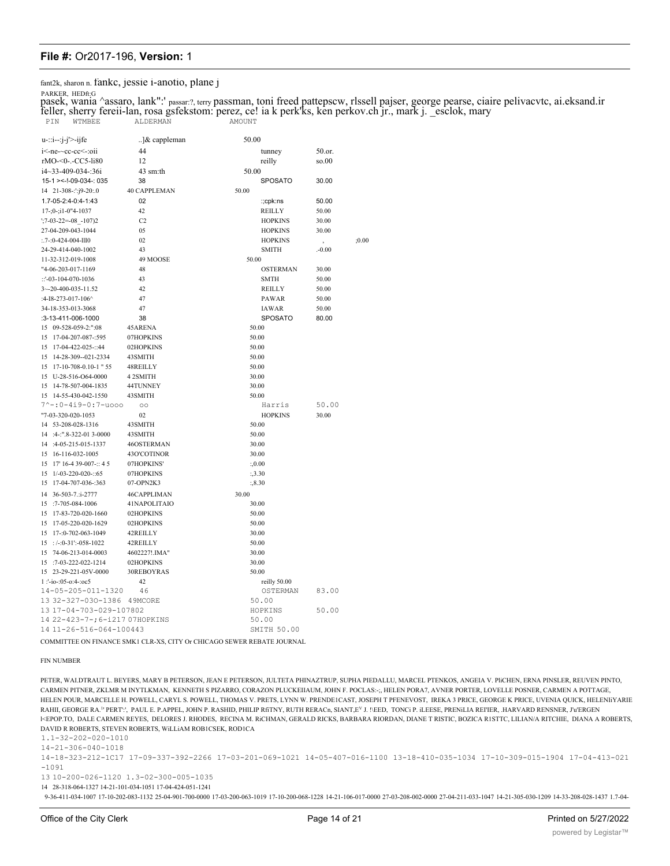fant2k, sharon n. fankc, jessie i-anotio, plane j

PARKER, HEDft:G

pasek, wania ^assaro, lank":' passar:?, terry passman, toni freed pattepscw, rlssell pajser, george pearse, ciaire pelivacvtc, ai.eksand.ir feller, sherry fereii-lan, rosa gsfekstom: perez, ce! ia k perk'ks, ken perkov.ch jr., mark j. \_esclok, mary PIN WTMBEE ALDERMAN AMOUNT

 $u$ -::i--:j-j'>-ijfe ..]& cappleman 50.00 44 50.or. i<-ne-~cc-cc<-:oii tunney rMO-<0-.-CC5-li80  $12$ reilly  $so.00$ 50.00  $i4 \sim 33 - 409 - 034 - 36i$  $43$  sm:th 15-1 > <-! - 09-034 -: 035 38 **SPOSATO** 30.00 14 21-308-:':j9-20:.0 **40 CAPPLEMAN** 50.00 1.7-05-2:4-0:4-1:43  $02$ :;cpk:ns 50.00  $17 - 0 - 11 - 0$ <sup>4</sup>-1037  $42$ REILLY 50.00  $\mathcal{C}$ **HOPKINS**  $1.7 - 03 - 22 = -08 - 107$ 30.00 27-04-209-043-1044 05 **HOPKINS** 30.00 **HOPKINS**  $: .7 - 0 - 424 - 004 - 1110$  $02$  $:0.00$ 24-29-414-040-1002  $43$ **SMITH**  $.0.00$ 49 MOOSE 11-32-312-019-1008 50.00 48 **OSTERMAN** "4-06-203-017-1169 30.00  $::$ '-03-104-070-1036 43 **SMTH** 50.00  $42$  $3 - 20 - 400 - 035 - 11.52$ REILLY 50.00  $47$  $-4 - 18 - 273 - 017 - 106$ PAWAR 50.00 34-18-353-013-3068 47 IAWAR 50.00 38 SPOSATO 80.00 :3-13-411-006-1000 15 09-528-059-2:":08 45ARENA 50.00 15 17-04-207-087-:595 07HOPKINS 50.00  $15$  17-04-422-025-::44 02HOPKINS 50.00 15 14-28-309--021-2334 43SMITH 50.00 15 17-10-708-0.10-1" 55 48REILLY 50.00 4 2 SMITH 15 U-28-516-O64-0000 30.00 15 14-78-507-004-1835 44TUNNEY 30.00 15 14-55-430-042-1550 43SMITH 50.00  $7^{\sim}$  -: 0-4i9-0:7-uooo Harris  $50.00$  $\circ$ "7-03-320-020-1053  $02$ **HOPKINS** 30.00 14 53-208-028-1316 43SMITH 50.00  $14 : 4::".8-322-013-0000$ 43SMITH 50.00 14 :4-05-215-015-1337 46OSTERMAN 30.00 15 16-116-032-1005 43O'COTINOR 30.00  $15 \quad 17' \quad 16.4 \quad 39.007 \cdots 45$ 07HOPKINS  $0.00$ 15 1/-03-220-020-::65 07HOPKINS  $:3.30$ 15 17-04-707-036-:363 07-OPN2K3  $:.8.30$ 14 36-503-7.:i-2777 46CAPPLIMAN 30.00  $15 \tcdot 7.705.084.1006$ 41 Ν ΑΡΟΙ ΙΤΑΙΟ 30.00 15 17-83-720-020-1660 02HOPKINS 50.00 02HOPKINS 15 17-05-220-020-1629 50.00  $15 \quad 17 - 0 - 702 - 063 - 1049$ 42REILLY 30.00  $: (-0.31): -0.58 - 1022$ 42REILLY 50.00 15 15 74-06-213-014-0003 4602227! IMA" 30.00 15 :7-03-222-022-1214 02HOPKINS 30.00 15 23-29-221-05V-0000 30REBOYRAS 50.00  $1 - 1 - 05 - 04 - 065$  $42$ reilly 50.00  $14 - 05 - 205 - 011 - 1320$  $46$ OSTERMAN  $83.00$ 13 32-327-030-1386 49MCORE 50.00 13 17-04-703-029-107802 HOPKINS 50.00 14 22-423-7-; 6-i217 07HOPKINS 50.00 14 11-26-516-064-100443 SMITH 50.00

COMMITTEE ON FINANCE SMK1 CLR-XS, CITY Or CHICAGO SEWER REBATE JOURNAL

#### **FIN NUMBER**

PETER, WALDTRAUT L. BEYERS, MARY B PETERSON, JEAN E PETERSON, JULTETA PHINAZTRUP, SUPHA PIEDALLU, MARCEL PTENKOS, ANGEIA V. PICHEN, ERNA PINSLER, REUVEN PINTO, CARMEN PITNER, ZKLMR M INYTLKMAN, KENNETH S PIZARRO, CORAZON PLUCKEIIAUM, JOHN F. POCLAS:-;, HELEN PORA7, AVNER PORTER, LOVELLE POSNER, CARMEN A POTTAGE, HELEN POUR, MARCELLE H. POWELL, CARYL S. POWELL, THOMAS V. PRETS, LYNN W. PRENDELCAST, JOSEPH T PFENEVOST, IREKA 3 PRICE, GEORGE K PRICE, UVENIA OUICK, HELENIYARIE RAHII, GEORGE RA." PERT", PAUL E. P.APPEL, JOHN P. RASHID, PHILIP RITNY, RUTH RERACI, SIANT,EY J. Y.EED, TONCI P. ILEESE, PRENILIA REI'ER, .HARVARD RENSNER, J'u'ERGEN KEPOP.TO, DALE CARMEN REYES, DELORES J. RHODES, RECINA M. RICHMAN, GERALD RICKS, BARBARA RIORDAN, DIANE T RISTIC, BOZICA RISTTC, LILIAN/A RITCHIE, DIANA A ROBERTS, DAVID R ROBERTS, STEVEN ROBERTS, WILLIAM ROBICSEK, RODICA

 $1.1 - 32 - 202 - 020 - 1010$ 

 $14 - 21 - 306 - 040 - 1018$ 

14-18-323-212-1C17 17-09-337-392-2266 17-03-201-069-1021 14-05-407-016-1100 13-18-410-035-1034 17-10-309-015-1904 17-04-413-021  $-1091$ 

13 10-200-026-1120 1.3-02-300-005-1035

14 28-318-064-1327 14-21-101-034-1051 17-04-424-051-1241

9-36-411-034-1007 17-10-202-083-1132 25-04-901-700-0000 17-03-200-063-1019 17-10-200-068-1228 14-21-106-017-0000 27-03-208-002-0000 27-04-211-033-1047 14-21-305-030-1209 14-33-208-028-1437 1.7-04-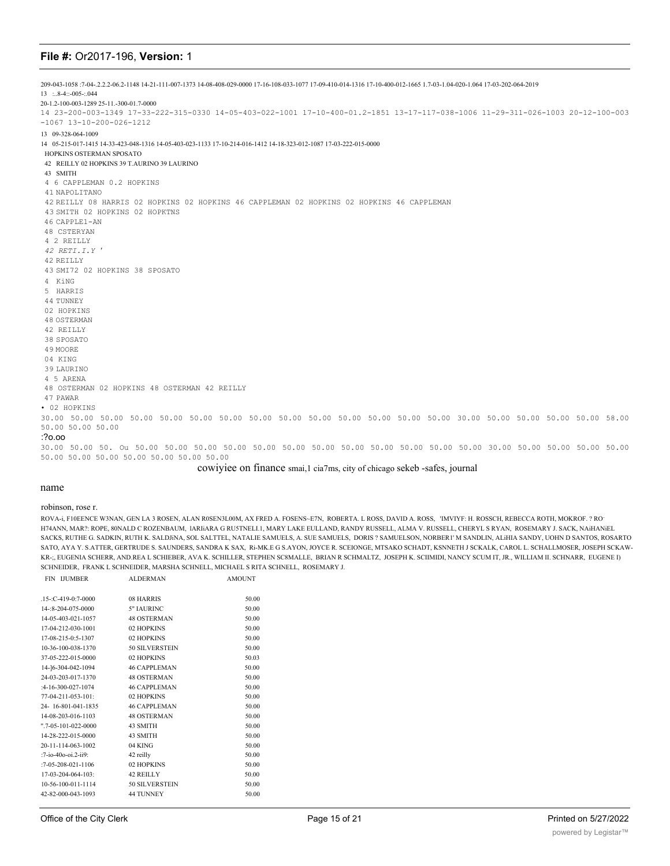209-043-1058 :7-04-.2.2.2-06.2-1148 14-21-111-007-1373 14-08-408-029-0000 17-16-108-033-1077 17-09-410-014-1316 17-10-400-012-1665 1.7-03-1.04-020-1.064 17-03-202-064-2019 13 :..8-4::-005-:.044 20-1.2-100-003-1289 25-11.-300-01.7-0000 14 23-200-003-1349 17-33-222-315-0330 14-05-403-022-1001 17-10-400-01.2-1851 13-17-117-038-1006 11-29-311-026-1003 20-12-100-003 -1067 13-10-200-026-1212 13 09-328-064-1009 14 05-215-017-1415 14-33-423-048-1316 14-05-403-023-1133 17-10-214-016-1412 14-18-323-012-1087 17-03-222-015-0000 HOPKINS OSTERMAN SPOSATO 42 REILLY 02 HOPKINS 39 T.AURINO 39 LAURINO 43 SMITH 4 6 CAPPLEMAN 0.2 HOPKINS 41 NAPOLITANO 42 REILLY 08 HARRIS 02 HOPKINS 02 HOPKINS 46 CAPPLEMAN 02 HOPKINS 02 HOPKINS 46 CAPPLEMAN 43 SMITH 02 HOPKINS 02 HOPKTNS 46 CAPPLE1-AN 48 CSTERYAN 4 2 REILLY *42 RETI.I.Y* ' 42 REILLY 43 SMI72 02 HOPKINS 38 SPOSATO 4 KiNG 5 HARRIS 44 TUNNEY 02 HOPKINS 48 OSTERMAN 42 REILLY 38 SPOSATO 49 MOORE 04 KING 39 LAURINO 4 5 ARENA 48 OSTERMAN 02 HOPKINS 48 OSTERMAN 42 REILLY 47 PAWAR • 02 HOPKINS 30.00 50.00 50.00 50.00 50.00 50.00 50.00 50.00 50.00 50.00 50.00 50.00 50.00 50.00 30.00 50.00 50.00 50.00 50.00 58.00 50.00 50.00 50.00 :?o.oo 30.00 50.00 50. Ou 50.00 50.00 50.00 50.00 50.00 50.00 50.00 50.00 50.00 50.00 50.00 50.00 30.00 50.00 50.00 50.00 50.00 50.00 50.00 50.00 50.00 50.00 50.00 50.00

cowiyiee on finance smai,1 cia7ms, city of chicago sekeb -safes, journal

#### name

#### robinson, rose r.

ROVA-i, F10EENCE W3NAN, GEN LA 3 ROSEN, ALAN R0SEN3L00M, AX FRED A. FOSENS~E7N, ROBERTA. L ROSS, DAVID A. ROSS, 'IMVIYF: H. ROSSCH, REBECCA ROTH, MOKROF. ? RO-H74ANN, MAR?: ROPE, 80NALD C ROZENBAUM, lARIiARA G RU5TNELI.1, MARY LAKE EULLAND, RANDY RUSSELL, ALMA V. RUSSELL, CHERYL S RYAN, ROSEMARY J. SACK, NAiHANiEL SACKS, RUTHE G. SADKIN, RUTH K. SALDJiNA, SOL SALTTEL, NATALIE SAMUELS, A. SUE SAMUELS, DORIS ? SAMUELSON, NORBER1' M SANDLIN, ALiHIA SANDY, UOHN D SANTOS, ROSARTO SATO, AYA Y. S.ATTER, GERTRUDE S. SAUNDERS, SANDRA K SAX, Ri-MK.E G S.AYON, JOYCE R. SCEIONGE, MTSAKO SCHADT, KSNNETH J SCKALK, CAROL L. SCHALLMOSER, JOSEPH SCKAW-KR-;, EUGENIA SCHERR, AND.REA L SCHIEBER, AVA K. SCHILLER, STEPHEN SC8MALLE, BRIAN R SCHMALTZ, JOSEPH K. SCIIMIDI, NANCY SCUM IT, JR., WILLIAM II. SCHNARR, EUGENE I) SCHNEIDER, FRANK L SCHNEIDER, MARSHA SCHNELL, MICHAEL S RITA SCHNELL, ROSEMARY J.

| <b>FIN IJUMBER</b>            | <b>ALDERMAN</b>       | <b>AMOUNT</b> |
|-------------------------------|-----------------------|---------------|
| $.15$ -:C-419-0:7-0000        | 08 HARRIS             | 50.00         |
| 14-:8-204-075-0000            | 5" JAURINC            | 50.00         |
| 14-05-403-021-1057            | <b>48 OSTERMAN</b>    | 50.00         |
| 17-04-212-030-1001            | 02 HOPKINS            | 50.00         |
| 17-08-215-0:5-1307            | 02 HOPKINS            | 50.00         |
| 10-36-100-038-1370            | <b>50 SILVERSTEIN</b> | 50.00         |
| 37-05-222-015-0000            | 02 HOPKINS            | 50.03         |
| 14-16-304-042-1094            | <b>46 CAPPLEMAN</b>   | 50.00         |
| 24-03-203-017-1370            | <b>48 OSTERMAN</b>    | 50.00         |
| $:4-16-300-027-1074$          | <b>46 CAPPLEMAN</b>   | 50.00         |
| 77-04-211-053-101:            | 02 HOPKINS            | 50.00         |
| 24-16-801-041-1835            | <b>46 CAPPLEMAN</b>   | 50.00         |
| 14-08-203-016-1103            | <b>48 OSTERMAN</b>    | 50.00         |
| $".7 - 05 - 101 - 022 - 0000$ | 43 SMITH              | 50.00         |
| 14-28-222-015-0000            | 43 SMITH              | 50.00         |
| 20-11-114-063-1002            | 04 KING               | 50.00         |
| :7-io-40o-oi.2-ii9:           | 42 reilly             | 50.00         |
| $:7-05-208-021-1106$          | 02 HOPKINS            | 50.00         |
| 17-03-204-064-103:            | 42 REILLY             | 50.00         |
| 10-56-100-011-1114            | <b>50 SILVERSTEIN</b> | 50.00         |
| 42-82-000-043-1093            | <b>44 TUNNEY</b>      | 50.00         |
|                               |                       |               |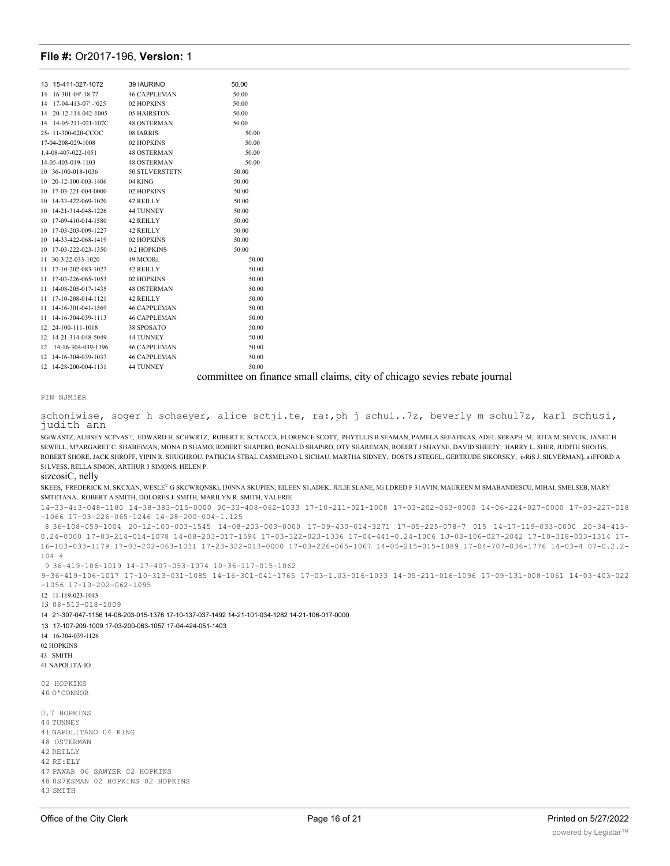| 15-411-027-1072<br>13     | 39 IAURINO          | 50.00   |
|---------------------------|---------------------|---------|
| 16-301-04'-18.77<br>14    | <b>46 CAPPLEMAN</b> | 50.00   |
| 17-04-413-07:-!025<br>14  | 02 HOPKINS          | 50.00   |
| 14<br>20-12-114-042-1005  | 05 HAIRSTON         | 50.00   |
| 14-05-211-021-107C<br>14  | <b>48 OSTERMAN</b>  | 50.00   |
| 25-11-300-020-CCOC        | 08 JARRIS           | 50.00   |
| 17-04-208-029-1008        | 02 HOPKINS          | 50.00   |
| 1.4-08-407-022-1051       | <b>48 OSTERMAN</b>  | 50.00   |
| 14-05-403-019-1103        | <b>48 OSTERMAN</b>  | 50.00   |
| 10 36-100-018-1036        | 50 STLVERSTETN      | 50.00   |
| 20-12-100-003-1406<br>10  | 04 KING             | 50.00   |
| 17-03-221-004-0000<br>10  | 02 HOPKINS          | 50.00   |
| 10<br>14-33-422-069-1020  | 42 REILLY           | 50.00   |
| 10<br>14-21-314-048-1226  | <b>44 TUNNEY</b>    | 50.00   |
| 17-09-410-014-1580<br>10  | 42 REILLY           | 50.00   |
| 17-03-203-009-1227<br>10  | 42 REILLY           | 50.00   |
| 10<br>14-33-422-068-1419  | 02 HOPKINS          | 50.00   |
| 17-03-222-023-1350<br>10  | 0.2 HOPKINS         | 50.00   |
| 11<br>30-3.22-033-1020    | 49 MCORi:           | 50.00   |
| 17-10-202-083-1027<br>11  | 42 REILLY           | 50.00   |
| 11<br>17-03-226-065-1053  | 02 HOPKINS          | 50.00   |
| 14-08-205-017-1435<br>11  | <b>48 OSTERMAN</b>  | 50.00   |
| 11<br>17-10-208-014-1121  | 42 REILLY           | 50.00   |
| 14-16-301-041-1569<br>11  | <b>46 CAPPLEMAN</b> | 50.00   |
| 14-16-304-039-1113<br>11  | <b>46 CAPPLEMAN</b> | 50.00   |
| 24-100-111-1018<br>12     | 38 SPOSATO          | 50.00   |
| 14-21-314-048-5049<br>12  | <b>44 TUNNEY</b>    | 50.00   |
| .14-16-304-039-1196<br>12 | <b>46 CAPPLEMAN</b> | 50.00   |
| 12<br>14-16-304-039-1037  | <b>46 CAPPLEMAN</b> | 50.00   |
| 12<br>14-28-200-004-1131  | <b>44 TUNNEY</b>    | 50.00   |
|                           |                     | $\cdot$ |

committee on finance small claims, city of chicago sevies rebate journal

PIN NJM3ER

schoniwise, soger h schseyer, alice sctji.te, ra:, ph j schu1..7z, beverly m schul7z, karl schusi, judith ann

SGIWASTZ, AUBSEY SCI"vAS", EDWARD H. SCHWRTZ, ROBERT E. SCTACCA, FLORENCE SCOTT, PHYTLLIS B SEAMAN, PAMELA SEFAFIKAS, ADEL SERAPH :M, RITA M, SEVCIK, JANET H SEWELL, M7ARGARET C. SHABEiMAN, MONA D SHAMO, ROBERT SHAPERO, RONALD SHAPiRO, OTY SHAREMAN, ROEERT J SHAYNE, DAVID SHEE2Y, HARRY L. SHER, JUDITH SHOiTiS, ROBERT SHORE, JACK SHROFF, YIPIN R. SHUGHROU, PATRICIA STBAL CASMELiNO L SICHAU, MARTHA SIDNEY, DOSTS J STEGEL, GERTRUDE SIKORSKY, i»RiS J. SILVERMAN], a.iFFORD A S1LVESS, RELLA SIMON, ARTHUR 3 SIMONS, HELEN P.

sizcosiC, nelly

SKEES, FREDERICK M. SKCXAN, WESLEV G SKCWRQNSKi, I30NNA SKUPIEN, EILEEN S1.ADEK, JULIE SLANE, Mi LDRED F 31AVIN, MAUREEN M SMABANDESCU, MIHAI. SMELSEB, MARY SMTETANA, ROBERT A SMITH, DOLORES J. SMITH, MARILYN R. SMITH, VALERIE

14-33-4:3-048-1180 14-38-383-015-0000 30-33-408-062-1033 17-10-211-021-1008 17-03-202-063-0000 14-06-224-027-0000 17-03-227-018 -1066 17-03-226-065-1246 14-28-200-004-1.125

8 36-108-059-1004 20-12-100-003-1545 14-08-203-003-0000 17-09-430-014-3271 17-05-225-078-7 015 14-17-119-033-0000 20-34-413- 0.24-0000 17-03-214-014-1078 14-08-203-017-1594 17-03-322-023-1336 17-04-441-0.24-1006 1J-03-106-027-2042 17-10-318-033-1314 17- 16-103-033-1179 17-03-202-063-1031 17-23-322-013-0000 17-03-226-065-1067 14-05-215-015-1089 17-04-707-036-1776 14-03-4 07-0.2.2- 104 4

9 36-419-106-1019 14-17-407-053-1074 10-36-117-015-1062

9-36-419-106-1017 17-10-313-031-1085 14-16-301-041-1765 17-03-1.03-016-1033 14-05-211-016-1096 17-09-131-008-1061 14-03-403-022 -1056 17-10-202-062-1095

12 11-119-023-1043

13 08-513-018-1009

14 21-307-047-1156 14-08-203-015-1376 17-10-137-037-1492 14-21-101-034-1282 14-21-106-017-0000

13 17-107-209-1009 17-03-200-063-1057 17-04-424-051-1403

14 16-304-039-1126

02 HOPKINS

- 43 SMITH
- 41 NAPOLITA-IO
- 02 HOPKINS 40 O'CONNOR
- 0.7 HOPKINS 44 TUNNEY 41 NAPOLITANO 04 KING 48 OSTERMAN 42 REILLY 42 RE:ELY 47 PAWAR 06 SAWYER 02 HOPKINS 48 0S7ESMAN 02 HOPKINS 02 HOPKINS 43 SMITH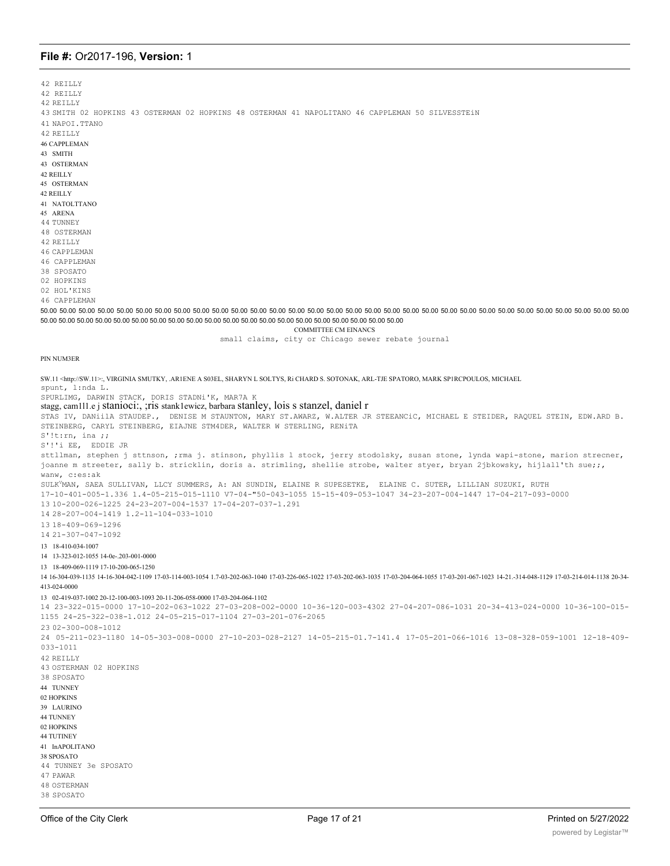42 REILLY 42 REILLY

42 REILLY

43 SMITH 02 HOPKINS 43 OSTERMAN 02 HOPKINS 48 OSTERMAN 41 NAPOLITANO 46 CAPPLEMAN 50 SILVESSTEIN 41 NAPOI.TTANO

42 REILLY **46 CAPPLEMAN** 

43 SMITH

43 OSTERMAN

42 REILLY 45 OSTERMAN

42 REILLY

41 NATOL TTANO

45 ARENA

44 TUNNEY 48 OSTERMAN

42 REILLY

46 CAPPLEMAN

46 CAPPLEMAN

38 SPOSATO

02 HOPKINS

02 HOL'KINS

46 CAPPLEMAN

50.00 50.00 50.00 50.00 50.00 50.00 50.00 50.00 50.00 50.00 50.00 50.00 50.00 50.00 50.00 50.00 50.00 50.00 50.00 50.00 50.00 50.00 50.00 50.00 50.00 50.00 50.00 50.00 50.00 50.00 50.00 50.00 50.00 50.00 50.00 50.00 50.00 5 50.00 50.00 50.00 50.00 50.00 50.00 50.00 50.00 50.00 50.00 50.00 50.00 50.00 50.00 50.00 50.00 50.00 50.00 50.00 50.00 50.00

**COMMITTEE CM EINANCS** 

small claims, city or Chicago sewer rebate journal

#### PIN NUM3ER

SW.11 <http://SW.11>:, VIRGINIA SMUTKY, .AR1ENE A S03EL, SHARYN L SOLTYS, Ri CHARD S. SOTONAK, ARL-TJE SPATORO, MARK SPIRCPOULOS, MICHAEL spunt, l:nda L. SPURLIMG, DARWIN STACK, DORIS STADNi'K, MAR7A K stagg, cam111.e j stanioci:, ; ris stanklewicz, barbara stanley, lois s stanzel, daniel r STAS IV, DANiilA STAUDEP., DENISE M STAUNTON, MARY ST.AWARZ, W.ALTER JR STEEANCIC, MICHAEL E STEIDER, RAQUEL STEIN, EDW.ARD B. STEINBERG, CARYL STEINBERG, EIAJNE STM4DER, WALTER W STERLING, RENITA  $S'$ !t:rn, ina ;; S'!'i EE, EDDIE JR sttllman, stephen j sttnson, ;rma j. stinson, phyllis 1 stock, jerry stodolsky, susan stone, lynda wapi-stone, marion strecner, joanne m streeter, sally b. stricklin, doris a. strimling, shellie strobe, walter styer, bryan 2jbkowsky, hijlall'th sue;;, wanw, c:es:ak SULK<sup>Y</sup>MAN, SAEA SULLIVAN, LLCY SUMMERS, A: AN SUNDIN, ELAINE R SUPESETKE, ELAINE C. SUTER, LILLIAN SUZUKI, RUTH 17-10-401-005-1.336 1.4-05-215-015-1110 V7-04-"50-043-1055 15-15-409-053-1047 34-23-207-004-1447 17-04-217-093-0000 13 10-200-026-1225 24-23-207-004-1537 17-04-207-037-1.291 14 28-207-004-1419 1.2-11-104-033-1010 13 18-409-069-1296 14 21-307-047-1092 13 18-410-034-1007 14 13-323-012-1055 14-0e-.203-001-0000 13 18-409-069-1119 17-10-200-065-1250 14-03-0304-039-1135 14-16-304-042-1109 17-03-114-003-1054 1.7-03-202-063-1040 17-03-226-065-1022 17-03-202-063-1035 17-03-204-064-1055 17-03-204-064-1055 17-03-201-067-1023 14-21.-314-048-1129 17-03-214-014-1138 20-34-413-024-0000 13 02-419-037-1002 20-12-100-003-1093 20-11-206-058-0000 17-03-204-064-1102 14 23-322-015-0000 17-10-202-063-1022 27-03-208-002-0000 10-36-120-003-4302 27-04-207-086-1031 20-34-413-024-0000 10-36-100-015-1155 24-25-322-038-1.012 24-05-215-017-1104 27-03-201-076-2065  $2302 - 300 - 008 - 1012$ 24 05-211-023-1180 14-05-303-008-0000 27-10-203-028-2127 14-05-215-01.7-141.4 17-05-201-066-1016 13-08-328-059-1001 12-18-409- $033 - 1011$ 42 RETLLY 43 OSTERMAN 02 HOPKINS 38 SPOSATO 44 TUNNEY 02 HOPKINS 39 LAURINO **44 TUNNEY** 02 HOPKINS 44 TUTINEY  $41$  In APOLITANO 38 SPOSATO 44 TUNNEY 3e SPOSATO 47 PAWAR **48 OSTERMAN** 38 SPOSATO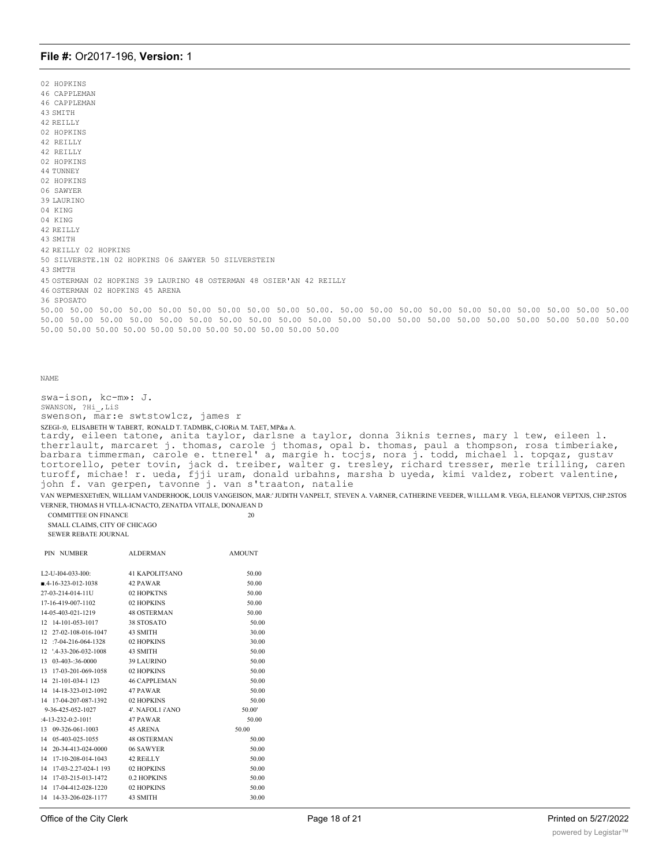02 HOPKINS 46 CAPPLEMAN 46 CAPPLEMAN 43 SMITH 42 REILLY 02 HOPKINS 42 REILLY 42 REILLY 02 HOPKINS 44 TUNNEY 02 HOPKINS 06 SAWYER 39 LAURINO 04 KING 04 KING 42 REILLY 43 SMITH 42 REILLY 02 HOPKINS 50 SILVERSTE.1N 02 HOPKINS 06 SAWYER 50 SILVERSTEIN 43 SMTTH 45 OSTERMAN 02 HOPKINS 39 LAURINO 48 OSTERMAN 48 OSIER'AN 42 REILLY 46 OSTERMAN 02 HOPKINS 45 ARENA 36 SPOSATO 50.00 50.00 50.00 50.00 50.00 50.00 50.00 50.00 50.00 50.00. 50.00 50.00 50.00 50.00 50.00 50.00 50.00 50.00 50.00 50.00 50.00 50.00 50.00 50.00 50.00 50.00 50.00 50.00 50.00 50.00 50.00 50.00 50.00 50.00 50.00 50.00 50.00 50.00 50.00 50.00 50.00 50.00 50.00 50.00 50.00 50.00 50.00 50.00 50.00 50.00 50.00

```
NAME
```
swa-ison, kc-m»: J. SWANSON, ?Hi\_,LiS swenson, mar:e swtstow1cz, james r SZEGI-:0, ELISABETH W TABERT, RONALD T. TADMBK, C-IORiA M. TAET, MP&a A. tardy, eileen tatone, anita taylor, darlsne a taylor, donna 3iknis ternes, mary l tew, eileen l. therrlault, marcaret j. thomas, carole j thomas, opal b. thomas, paul a thompson, rosa timberiake, barbara timmerman, carole e. ttnerel' a, margie h. tocjs, nora j. todd, michael l. topqaz, gustav tortorello, peter tovin, jack d. treiber, walter g. tresley, richard tresser, merle trilling, caren turoff, michae! r. ueda, fjji uram, donald urbahns, marsha b uyeda, kimi valdez, robert valentine, john f. van gerpen, tavonne j. van s'traaton, natalie VAN WEPMESXETtfEN, WILLIAM VANDERHOOK, LOUIS VANGEISON, MAR:' JUDITH VANPELT, STEVEN A. VARNER, CATHERINE VEEDER, W1LLLAM R. VEGA, ELEANOR VEPTXJS, CHP.2STOS VERNER, THOMAS H VTLLA-ICNACTO, ZENATDA VITALE, DONAJEAN D

COMMITTEE ON FINANCE 20 SMALL CLAIMS, CITY OF CHICAGO SEWER REBATE JOURNAL

|              | PIN NUMBER                     | <b>ALDERMAN</b>     | <b>AMOUNT</b> |
|--------------|--------------------------------|---------------------|---------------|
|              | L <sub>2</sub> -U-I04-033-I00: | 41 KAPOLIT5ANO      | 50.00         |
|              | $-4-16-323-012-1038$           | 42 PAWAR            | 50.00         |
|              | 27-03-214-014-11U              | 02 HOPKTNS          | 50.00         |
|              | 17-16-419-007-1102             | 02 HOPKINS          | 50.00         |
|              | 14-05-403-021-1219             | <b>48 OSTERMAN</b>  | 50.00         |
| 12           | 14-101-053-1017                | 38 STOSATO          | 50.00         |
| 12           | 27-02-108-016-1047             | 43 SMITH            | 30.00         |
| 12           | $:7-04-216-064-1328$           | 02 HOPKINS          | 30.00         |
| $12^{\circ}$ | $'$ .4-33-206-032-1008         | 43 SMITH            | 50.00         |
| 13           | 03-403-:36-0000                | <b>39 LAURINO</b>   | 50.00         |
| 13           | 17-03-201-069-1058             | 02 HOPKINS          | 50.00         |
| 14           | 21-101-034-1 123               | <b>46 CAPPLEMAN</b> | 50.00         |
| 14           | 14-18-323-012-1092             | 47 PAWAR            | 50.00         |
| 14           | 17-04-207-087-1392             | 02 HOPKINS          | 50.00         |
|              | 9-36-425-052-1027              | 4'. NAFOL1 i'ANO    | 50.00'        |
|              | $:4-13-232-0:2-101!$           | 47 PAWAR            | 50.00         |
| 13           | 09-326-061-1003                | 45 ARENA            | 50.00         |
| 14           | 05-403-025-1055                | <b>48 OSTERMAN</b>  | 50.00         |
| 14           | 20-34-413-024-0000             | 06 SAWYER           | 50.00         |
| 14           | 17-10-208-014-1043             | 42 REILLY           | 50.00         |
| 14           | 17-03-2.27-024-1 193           | 02 HOPKINS          | 50.00         |
| 14           | 17-03-215-013-1472             | 0.2 HOPKINS         | 50.00         |
| 14           | 17-04-412-028-1220             | 02 HOPKINS          | 50.00         |
| 14           | 14-33-206-028-1177             | 43 SMITH            | 30.00         |
|              |                                |                     |               |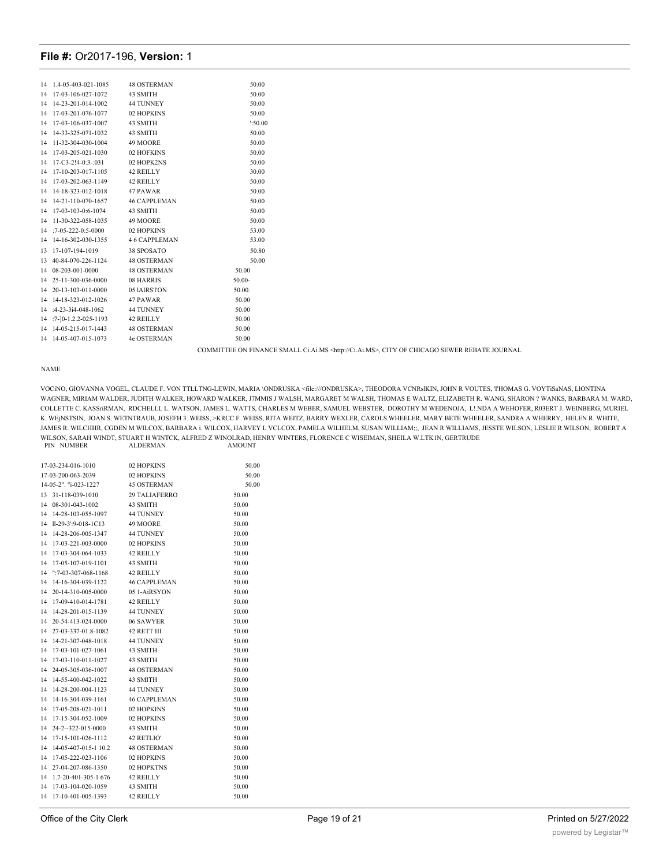| 14 | 1.4-05-403-021-1085             | <b>48 OSTERMAN</b>  | 50.00             |
|----|---------------------------------|---------------------|-------------------|
| 14 | 17-03-106-027-1072              | 43 SMITH            | 50.00             |
| 14 | 14-23-201-014-1002              | <b>44 TUNNEY</b>    | 50.00             |
| 14 | 17-03-201-076-1077              | 02 HOPKINS          | 50.00             |
| 14 | 17-03-106-037-1007              | 43 SMITH            | $^{\prime}:50.00$ |
| 14 | 14-33-325-071-1032              | 43 SMITH            | 50.00             |
| 14 | 11-32-304-030-1004              | 49 MOORE            | 50.00             |
| 14 | 17-03-205-021-1030              | 02 HOFKINS          | 50.00             |
| 14 | $17 - C3 - 2!4 - 0:3 - 0.031$   | 02 HOPK2NS          | 50.00             |
| 14 | 17-10-203-017-1105              | 42 REILLY           | 30.00             |
| 14 | 17-03-202-063-1149              | 42 REILLY           | 50.00             |
| 14 | 14-18-323-012-1018              | 47 PAWAR            | 50.00             |
| 14 | 14-21-110-070-1657 46 CAPPLEMAN |                     | 50.00             |
| 14 | 17-03-103-0:6-1074 43 SMITH     |                     | 50.00             |
| 14 | 11-30-322-058-1035              | 49 MOORE            | 50.00             |
| 14 | $:7-05-222-0:5-0000$            | 02 HOPKINS          | 53.00             |
| 14 | 14-16-302-030-1355              | <b>46 CAPPLEMAN</b> | 53.00             |
| 13 | 17-107-194-1019                 | 38 SPOSATO          | 50.80             |
| 13 | 40-84-070-226-1124              | <b>48 OSTERMAN</b>  | 50.00             |
| 14 | 08-203-001-0000                 | <b>48 OSTERMAN</b>  | 50.00             |
| 14 | 25-11-300-036-0000              | 08 HARRIS           | $50.00 -$         |
| 14 | 20-13-103-011-0000              | 05 IAIRSTON         | 50.00.            |
| 14 | 14-18-323-012-1026              | 47 PAWAR            | 50.00             |
| 14 | :4-23-3i4-048-1062              | 44 TUNNEY           | 50.00             |
| 14 | :7-10-1.2.2-025-1193 42 REILLY  |                     | 50.00             |
| 14 | 14-05-215-017-1443 48 OSTERMAN  |                     | 50.00             |
| 14 | 14-05-407-015-1073 4e OSTERMAN  |                     | 50.00             |
|    |                                 |                     |                   |

COMMITTEE ON FINANCE SMALL Ci.Ai.MS  $<$ http://Ci.Ai.MS>, CITY OF CHICAGO SEWER REBATE JOURNAL

#### **NAME**

VOCINO, GIOVANNA VOGEL, CLAUDE F. VON TTLLTNG-LEWIN, MARIA \ONDRUSKA <file:///ONDRUSKA>, THEODORA VCNRsIKIN, JOHN R VOUTES, THOMAS G. VOYTISaNAS, LIONTINA WAGNER, MIRIAM WALDER, JUDITH WALKER, HOWARD WALKER, J7MMIS J WALSH, MARGARET M WALSH, THOMAS E WALTZ, ELIZABETH R. WANG, SHARON ? WANKS, BARBARA M. WARD, COLLETTE C. KASSriRMAN, RDCHELLL L. WATSON, JAMES L. WATTS, CHARLES M WEBER, SAMUEL WEBSTER, DOROTHY M WEDENOJA, L!.NDA A WEHOFER, R03ERT J. WEINBERG, MURIEL K. WEJNSTSIN, JOAN S. WETNTRAUB, JOSEFH 3. WEISS, >KRCC F. WEISS, RITA WEITZ, BARRY WEXLER, CAROLS WHEELER, MARY BETE WHEELER, SANDRA A WHERRY, HELEN R. WHITE, JAMES R. WILCHHR, CGDEN M WILCOX, BARBARA i. WILCOX, HARVEY L VCLCOX, PAMELA WILHELM, SUSAN WILLIAM;;, JEAN R WILLIAMS, JESSTE WILSON, LESLIE R WILSON, ROBERT A WILSON, SARAH WINDT, STUART H WINTCK, ALFRED Z WINOLRAD, HENRY WINTERS, FLORENCE C WISEIMAN, SHEILA W.LTK1N, GERTRUDE PIN NUMBER ALDERMAN AMOUNT

|    | 17-03-234-016-1010      | 02 HOPKINS          | 50.00 |
|----|-------------------------|---------------------|-------|
|    | 17-03-200-063-2039      | 02 HOPKINS          | 50.00 |
|    | 14-05-2". "i-023-1227   | <b>45 OSTERMAN</b>  | 50.00 |
| 13 | 31-118-039-1010         | 29 TALIAFERRO       | 50.00 |
| 14 | 08-301-043-1002         | 43 SMITH            | 50.00 |
| 14 | 14-28-103-055-1097      | <b>44 TUNNEY</b>    | 50.00 |
| 14 | ll-29-3':9-018-1C13     | 49 MOORE            | 50.00 |
| 14 | 14-28-206-005-1347      | <b>44 TUNNEY</b>    | 50.00 |
| 14 | 17-03-221-003-0000      | 02 HOPKINS          | 50.00 |
| 14 | 17-03-304-064-1033      | 42 REILLY           | 50.00 |
| 14 | 17-05-107-019-1101      | 43 SMITH            | 50.00 |
| 14 | $"$ : 7-03-307-068-1168 | 42 REILLY           | 50.00 |
| 14 | 14-16-304-039-1122      | <b>46 CAPPLEMAN</b> | 50.00 |
| 14 | 20-14-310-005-0000      | 051-AiRSYON         | 50.00 |
| 14 | 17-09-410-014-1781      | 42 REILLY           | 50.00 |
| 14 | 14-28-201-015-1139      | <b>44 TUNNEY</b>    | 50.00 |
| 14 | 20-54-413-024-0000      | 06 SAWYER           | 50.00 |
| 14 | 27-03-337-01.8-1082     | <b>42 RETT III</b>  | 50.00 |
| 14 | 14-21-307-048-1018      | <b>44 TUNNEY</b>    | 50.00 |
| 14 | 17-03-101-027-1061      | 43 SMITH            | 50.00 |
| 14 | 17-03-110-011-1027      | 43 SMITH            | 50.00 |
| 14 | 24-05-305-036-1007      | <b>48 OSTERMAN</b>  | 50.00 |
| 14 | 14-55-400-042-1022      | 43 SMITH            | 50.00 |
| 14 | 14-28-200-004-1123      | <b>44 TUNNEY</b>    | 50.00 |
| 14 | 14-16-304-039-1161      | <b>46 CAPPLEMAN</b> | 50.00 |
| 14 | 17-05-208-021-1011      | 02 HOPKINS          | 50.00 |
| 14 | 17-15-304-052-1009      | 02 HOPKINS          | 50.00 |
| 14 | 24-2--322-015-0000      | 43 SMITH            | 50.00 |
| 14 | 17-15-101-026-1112      | 42 RETLIO'          | 50.00 |
| 14 | 14-05-407-015-1 10.2    | <b>48 OSTERMAN</b>  | 50.00 |
| 14 | 17-05-222-023-1106      | 02 HOPKINS          | 50.00 |
| 14 | 27-04-207-086-1350      | 02 HOPKTNS          | 50.00 |
| 14 | 1.7-20-401-305-1 676    | 42 REILLY           | 50.00 |
| 14 | 17-03-104-020-1059      | 43 SMITH            | 50.00 |
| 14 | 17-10-401-005-1393      | 42 REILLY           | 50.00 |
|    |                         |                     |       |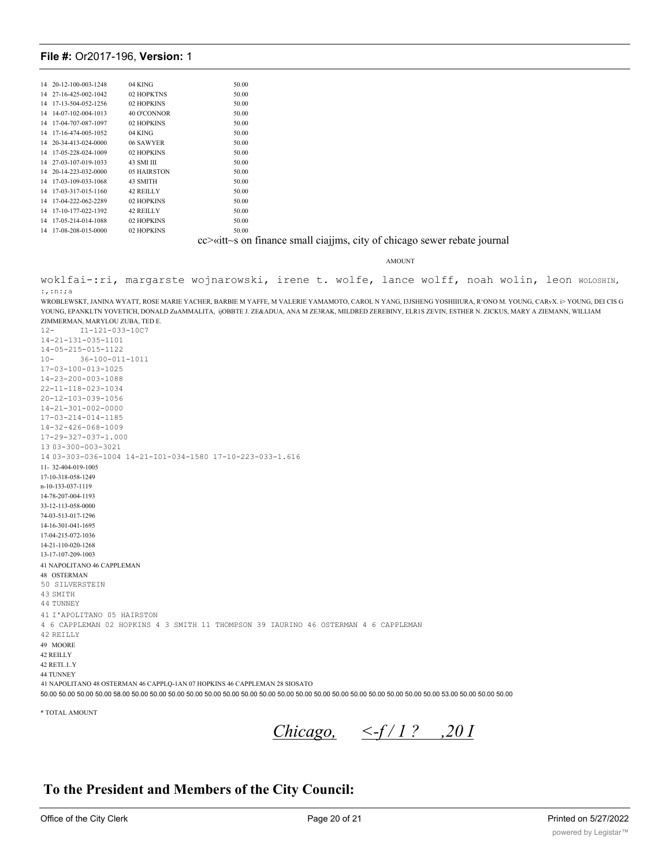|    | 14 20-12-100-003-1248 | 04 KING     | 50.00 |
|----|-----------------------|-------------|-------|
|    | 14 27-16-425-002-1042 | 02 HOPKTNS  | 50.00 |
| 14 | 17-13-504-052-1256    | 02 HOPKINS  | 50.00 |
| 14 | 14-07-102-004-1013    | 40 O'CONNOR | 50.00 |
| 14 | 17-04-707-087-1097    | 02 HOPKINS  | 50.00 |
| 14 | 17-16-474-005-1052    | 04 KING     | 50.00 |
|    | 14 20-34-413-024-0000 | 06 SAWYER   | 50.00 |
| 14 | 17-05-228-024-1009    | 02 HOPKINS  | 50.00 |
|    | 14 27-03-107-019-1033 | 43 SMI III  | 50.00 |
|    | 14 20-14-223-032-0000 | 05 HAIRSTON | 50.00 |
| 14 | 17-03-109-033-1068    | 43 SMITH    | 50.00 |
| 14 | 17-03-317-015-1160    | 42 REILLY   | 50.00 |
| 14 | 17-04-222-062-2289    | 02 HOPKINS  | 50.00 |
| 14 | 17-10-177-022-1392    | 42 REILLY   | 50.00 |
| 14 | 17-05-214-014-1088    | 02 HOPKINS  | 50.00 |
|    | 14 17-08-208-015-0000 | 02 HOPKINS  | 50.00 |

cc>«itt~s on finance small ciajjms, city of chicago sewer rebate journal

AMOUNT

woklfai-:ri, margarste wojnarowski, irene t. wolfe, lance wolff, noah wolin, leon woLosHIN,  $:$ , :n:;a

WROBLEWSKT, JANINA WYATT, ROSE MARIE YACHER, BARBIE M YAFFE, M VALERIE YAMAMOTO, CAROL N YANG, I3JSHENG YOSHIIIURA, R'ONO M. YOUNG, CARvX. i> YOUNG, DEI CIS G YOUNG, EPANKLTN YOVETICH, DONALD ZuAMMALITA, ijOBBTE J. ZE&ADUA, ANA M ZE3RAK, MILDRED ZEREBINY, ELR1S ZEVIN, ESTHER N. ZICKUS, MARY A ZIEMANN, WILLIAM ZIMMERMAN, MARYLOU ZUBA, TED E.

 $12 -$ I1-121-033-10C7  $14 - 21 - 131 - 035 - 1101$  $14 - 05 - 215 - 015 - 1122$  $10 36 - 100 - 011 - 1011$ 17-03-100-013-1025  $14 - 23 - 200 - 003 - 1088$  $22 - 11 - 118 - 023 - 1034$  $20 - 12 - 103 - 039 - 1056$  $14 - 21 - 301 - 002 - 0000$ 17-03-214-014-1185  $14 - 32 - 426 - 068 - 1009$  $17 - 29 - 327 - 037 - 1000$ 13 03-300-003-3021 14 03-303-036-1004 14-21-I01-034-1580 17-10-223-033-1.616 11-32-404-019-1005 17-10-318-058-1249 n-10-133-037-1119 14-78-207-004-1193 33-12-113-058-0000 74-03-513-017-1296 14-16-301-041-1695 17-04-215-072-1036 14-21-110-020-1268 13-17-107-209-1003 41 NAPOLITANO 46 CAPPLEMAN 48 OSTERMAN 50 STLVERSTEIN 43 SMTTH 44 TUNNEY 41 I'APOLITANO 05 HAIRSTON 4 6 CAPPLEMAN 02 HOPKINS 4 3 SMITH 11 THOMPSON 39 IAURINO 46 OSTERMAN 4 6 CAPPLEMAN 42 REILLY 49 MOORE 42 REILLY 42 RETI..I..Y **44 TUNNEY** 41 NAPOLITANO 48 OSTERMAN 46 CAPPLQ-1AN 07 HOPKINS 46 CAPPLEMAN 28 SIOSATO 50.00 50.00 50.00 50.00 58.00 50.00 50.00 50.00 50.00 50.00 50.00 50.00 50.00 50.00 50.00 50.00 50.00 50.00 50.00 50.00 50.00 53.00 50.00 50.00 50.00 50.00 50.00 50.00

\* TOTAL AMOUNT

Chicago,  $\leq f/1$ ? ,201

# To the President and Members of the City Council: